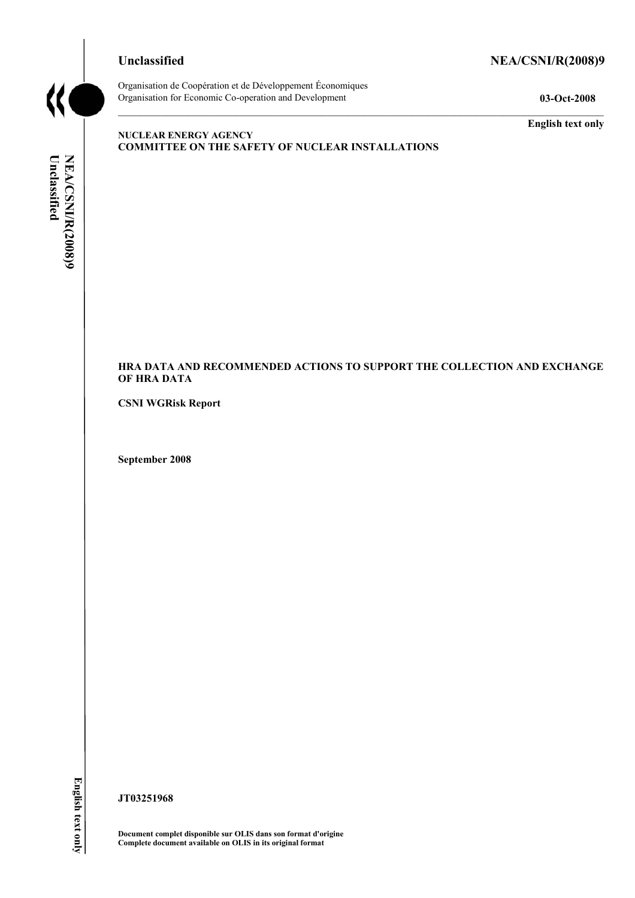# **Unclassified NEA/CSNI/R(2008)9**



Organisation de Coopération et de Développement Économiques Organisation for Economic Co-operation and Development **03-Oct-2008** 

**English text only** 

# **NUCLEAR ENERGY AGENCY COMMITTEE ON THE SAFETY OF NUCLEAR INSTALLATIONS**

# **HRA DATA AND RECOMMENDED ACTIONS TO SUPPORT THE COLLECTION AND EXCHANGE OF HRA DATA**

**CSNI WGRisk Report** 

**September 2008** 

English text only

**JT03251968** 

**Document complet disponible sur OLIS dans son format d'origine Complete document available on OLIS in its original format**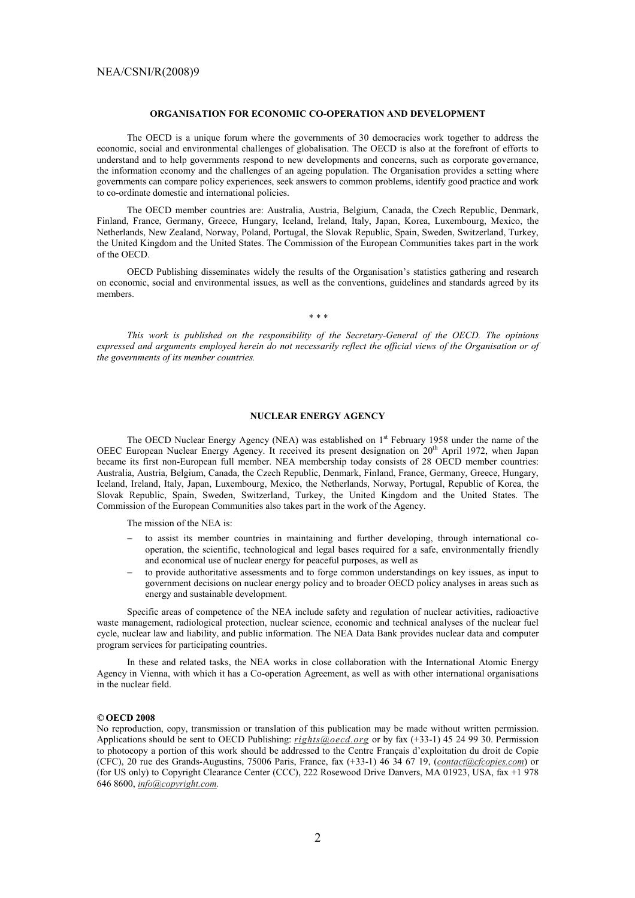#### **ORGANISATION FOR ECONOMIC CO-OPERATION AND DEVELOPMENT**

 The OECD is a unique forum where the governments of 30 democracies work together to address the economic, social and environmental challenges of globalisation. The OECD is also at the forefront of efforts to understand and to help governments respond to new developments and concerns, such as corporate governance, the information economy and the challenges of an ageing population. The Organisation provides a setting where governments can compare policy experiences, seek answers to common problems, identify good practice and work to co-ordinate domestic and international policies.

 The OECD member countries are: Australia, Austria, Belgium, Canada, the Czech Republic, Denmark, Finland, France, Germany, Greece, Hungary, Iceland, Ireland, Italy, Japan, Korea, Luxembourg, Mexico, the Netherlands, New Zealand, Norway, Poland, Portugal, the Slovak Republic, Spain, Sweden, Switzerland, Turkey, the United Kingdom and the United States. The Commission of the European Communities takes part in the work of the OECD.

 OECD Publishing disseminates widely the results of the Organisation's statistics gathering and research on economic, social and environmental issues, as well as the conventions, guidelines and standards agreed by its members.

*\* \* \** 

 *This work is published on the responsibility of the Secretary-General of the OECD. The opinions*  expressed and arguments employed herein do not necessarily reflect the official views of the Organisation or of *the governments of its member countries.* 

#### **NUCLEAR ENERGY AGENCY**

The OECD Nuclear Energy Agency (NEA) was established on 1<sup>st</sup> February 1958 under the name of the OEEC European Nuclear Energy Agency. It received its present designation on 20<sup>th</sup> April 1972, when Japan became its first non-European full member. NEA membership today consists of 28 OECD member countries: Australia, Austria, Belgium, Canada, the Czech Republic, Denmark, Finland, France, Germany, Greece, Hungary, Iceland, Ireland, Italy, Japan, Luxembourg, Mexico, the Netherlands, Norway, Portugal, Republic of Korea, the Slovak Republic, Spain, Sweden, Switzerland, Turkey, the United Kingdom and the United States. The Commission of the European Communities also takes part in the work of the Agency.

The mission of the NEA is:

- to assist its member countries in maintaining and further developing, through international cooperation, the scientific, technological and legal bases required for a safe, environmentally friendly and economical use of nuclear energy for peaceful purposes, as well as
- − to provide authoritative assessments and to forge common understandings on key issues, as input to government decisions on nuclear energy policy and to broader OECD policy analyses in areas such as energy and sustainable development.

 Specific areas of competence of the NEA include safety and regulation of nuclear activities, radioactive waste management, radiological protection, nuclear science, economic and technical analyses of the nuclear fuel cycle, nuclear law and liability, and public information. The NEA Data Bank provides nuclear data and computer program services for participating countries.

In these and related tasks, the NEA works in close collaboration with the International Atomic Energy Agency in Vienna, with which it has a Co-operation Agreement, as well as with other international organisations in the nuclear field.

#### *©* **OECD 2008**

No reproduction, copy, transmission or translation of this publication may be made without written permission. Applications should be sent to OECD Publishing: *rights@oecd.org* or by fax (+33-1) 45 24 99 30. Permission to photocopy a portion of this work should be addressed to the Centre Français d'exploitation du droit de Copie (CFC), 20 rue des Grands-Augustins, 75006 Paris, France, fax (+33-1) 46 34 67 19, (*contact@cfcopies.com*) or (for US only) to Copyright Clearance Center (CCC), 222 Rosewood Drive Danvers, MA 01923, USA, fax +1 978 646 8600, *info@copyright.com.*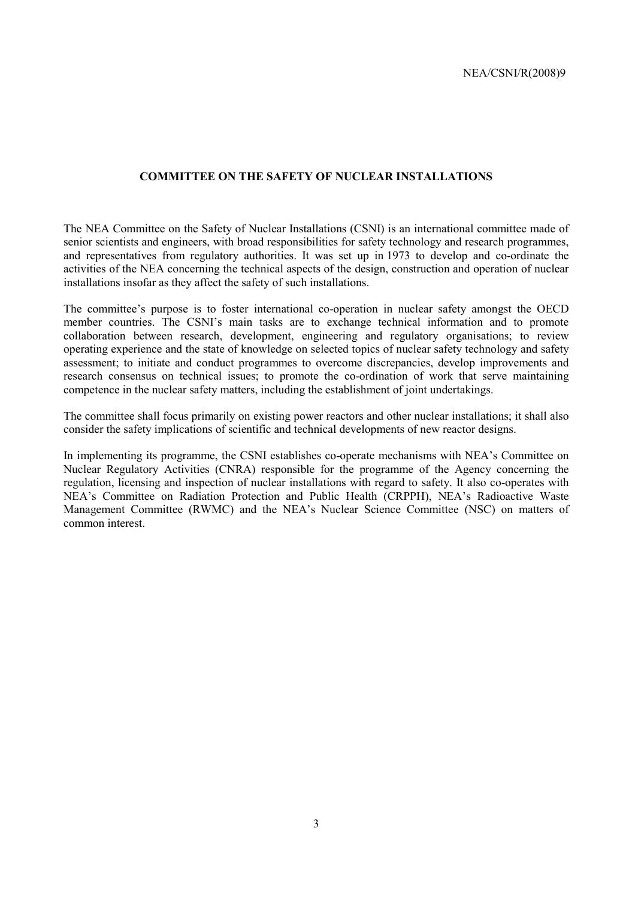## **COMMITTEE ON THE SAFETY OF NUCLEAR INSTALLATIONS**

The NEA Committee on the Safety of Nuclear Installations (CSNI) is an international committee made of senior scientists and engineers, with broad responsibilities for safety technology and research programmes, and representatives from regulatory authorities. It was set up in 1973 to develop and co-ordinate the activities of the NEA concerning the technical aspects of the design, construction and operation of nuclear installations insofar as they affect the safety of such installations.

The committee's purpose is to foster international co-operation in nuclear safety amongst the OECD member countries. The CSNI's main tasks are to exchange technical information and to promote collaboration between research, development, engineering and regulatory organisations; to review operating experience and the state of knowledge on selected topics of nuclear safety technology and safety assessment; to initiate and conduct programmes to overcome discrepancies, develop improvements and research consensus on technical issues; to promote the co-ordination of work that serve maintaining competence in the nuclear safety matters, including the establishment of joint undertakings.

The committee shall focus primarily on existing power reactors and other nuclear installations; it shall also consider the safety implications of scientific and technical developments of new reactor designs.

In implementing its programme, the CSNI establishes co-operate mechanisms with NEA's Committee on Nuclear Regulatory Activities (CNRA) responsible for the programme of the Agency concerning the regulation, licensing and inspection of nuclear installations with regard to safety. It also co-operates with NEA's Committee on Radiation Protection and Public Health (CRPPH), NEA's Radioactive Waste Management Committee (RWMC) and the NEA's Nuclear Science Committee (NSC) on matters of common interest.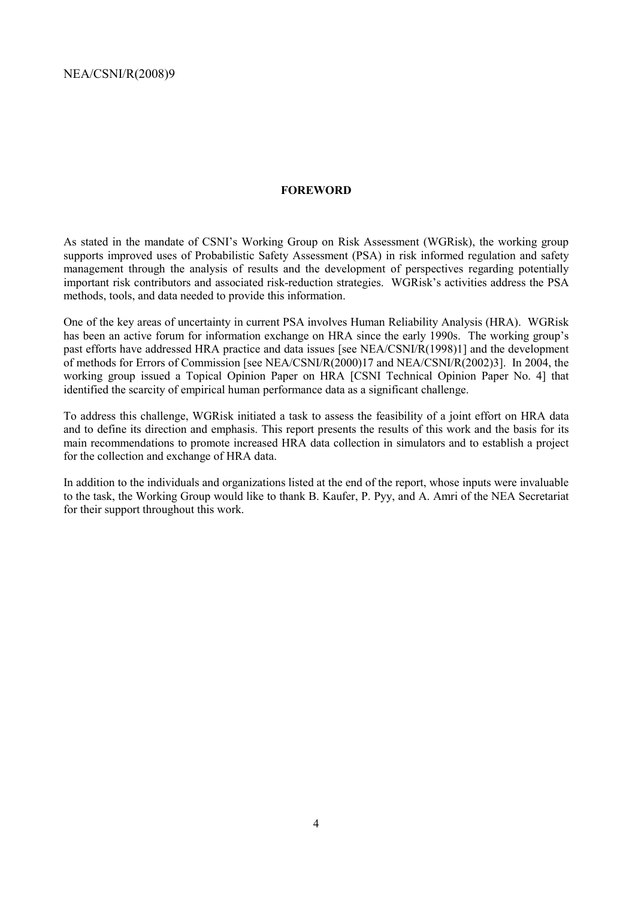#### **FOREWORD**

As stated in the mandate of CSNI's Working Group on Risk Assessment (WGRisk), the working group supports improved uses of Probabilistic Safety Assessment (PSA) in risk informed regulation and safety management through the analysis of results and the development of perspectives regarding potentially important risk contributors and associated risk-reduction strategies. WGRisk's activities address the PSA methods, tools, and data needed to provide this information.

One of the key areas of uncertainty in current PSA involves Human Reliability Analysis (HRA). WGRisk has been an active forum for information exchange on HRA since the early 1990s. The working group's past efforts have addressed HRA practice and data issues [see NEA/CSNI/R(1998)1] and the development of methods for Errors of Commission [see NEA/CSNI/R(2000)17 and NEA/CSNI/R(2002)3]. In 2004, the working group issued a Topical Opinion Paper on HRA [CSNI Technical Opinion Paper No. 4] that identified the scarcity of empirical human performance data as a significant challenge.

To address this challenge, WGRisk initiated a task to assess the feasibility of a joint effort on HRA data and to define its direction and emphasis. This report presents the results of this work and the basis for its main recommendations to promote increased HRA data collection in simulators and to establish a project for the collection and exchange of HRA data.

In addition to the individuals and organizations listed at the end of the report, whose inputs were invaluable to the task, the Working Group would like to thank B. Kaufer, P. Pyy, and A. Amri of the NEA Secretariat for their support throughout this work.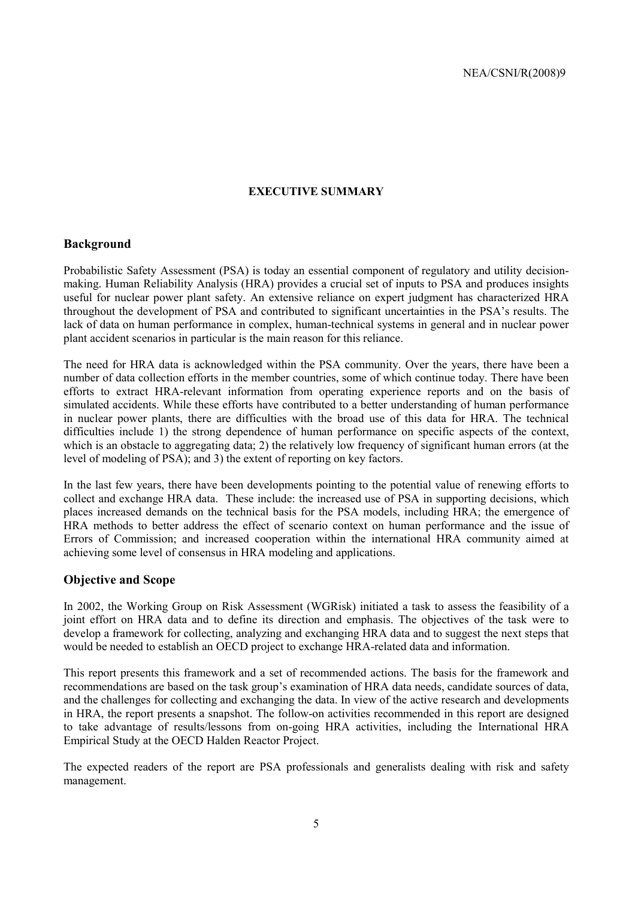## **EXECUTIVE SUMMARY**

#### **Background**

Probabilistic Safety Assessment (PSA) is today an essential component of regulatory and utility decisionmaking. Human Reliability Analysis (HRA) provides a crucial set of inputs to PSA and produces insights useful for nuclear power plant safety. An extensive reliance on expert judgment has characterized HRA throughout the development of PSA and contributed to significant uncertainties in the PSA's results. The lack of data on human performance in complex, human-technical systems in general and in nuclear power plant accident scenarios in particular is the main reason for this reliance.

The need for HRA data is acknowledged within the PSA community. Over the years, there have been a number of data collection efforts in the member countries, some of which continue today. There have been efforts to extract HRA-relevant information from operating experience reports and on the basis of simulated accidents. While these efforts have contributed to a better understanding of human performance in nuclear power plants, there are difficulties with the broad use of this data for HRA. The technical difficulties include 1) the strong dependence of human performance on specific aspects of the context, which is an obstacle to aggregating data; 2) the relatively low frequency of significant human errors (at the level of modeling of PSA); and 3) the extent of reporting on key factors.

In the last few years, there have been developments pointing to the potential value of renewing efforts to collect and exchange HRA data. These include: the increased use of PSA in supporting decisions, which places increased demands on the technical basis for the PSA models, including HRA; the emergence of HRA methods to better address the effect of scenario context on human performance and the issue of Errors of Commission; and increased cooperation within the international HRA community aimed at achieving some level of consensus in HRA modeling and applications.

#### **Objective and Scope**

In 2002, the Working Group on Risk Assessment (WGRisk) initiated a task to assess the feasibility of a joint effort on HRA data and to define its direction and emphasis. The objectives of the task were to develop a framework for collecting, analyzing and exchanging HRA data and to suggest the next steps that would be needed to establish an OECD project to exchange HRA-related data and information.

This report presents this framework and a set of recommended actions. The basis for the framework and recommendations are based on the task group's examination of HRA data needs, candidate sources of data, and the challenges for collecting and exchanging the data. In view of the active research and developments in HRA, the report presents a snapshot. The follow-on activities recommended in this report are designed to take advantage of results/lessons from on-going HRA activities, including the International HRA Empirical Study at the OECD Halden Reactor Project.

The expected readers of the report are PSA professionals and generalists dealing with risk and safety management.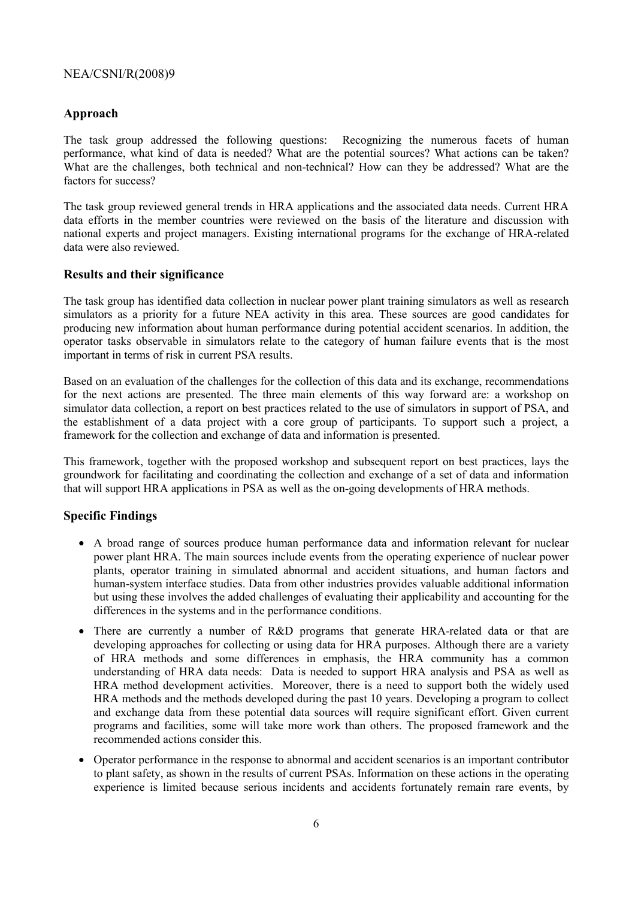# **Approach**

The task group addressed the following questions: Recognizing the numerous facets of human performance, what kind of data is needed? What are the potential sources? What actions can be taken? What are the challenges, both technical and non-technical? How can they be addressed? What are the factors for success?

The task group reviewed general trends in HRA applications and the associated data needs. Current HRA data efforts in the member countries were reviewed on the basis of the literature and discussion with national experts and project managers. Existing international programs for the exchange of HRA-related data were also reviewed.

## **Results and their significance**

The task group has identified data collection in nuclear power plant training simulators as well as research simulators as a priority for a future NEA activity in this area. These sources are good candidates for producing new information about human performance during potential accident scenarios. In addition, the operator tasks observable in simulators relate to the category of human failure events that is the most important in terms of risk in current PSA results.

Based on an evaluation of the challenges for the collection of this data and its exchange, recommendations for the next actions are presented. The three main elements of this way forward are: a workshop on simulator data collection, a report on best practices related to the use of simulators in support of PSA, and the establishment of a data project with a core group of participants. To support such a project, a framework for the collection and exchange of data and information is presented.

This framework, together with the proposed workshop and subsequent report on best practices, lays the groundwork for facilitating and coordinating the collection and exchange of a set of data and information that will support HRA applications in PSA as well as the on-going developments of HRA methods.

# **Specific Findings**

- A broad range of sources produce human performance data and information relevant for nuclear power plant HRA. The main sources include events from the operating experience of nuclear power plants, operator training in simulated abnormal and accident situations, and human factors and human-system interface studies. Data from other industries provides valuable additional information but using these involves the added challenges of evaluating their applicability and accounting for the differences in the systems and in the performance conditions.
- There are currently a number of R&D programs that generate HRA-related data or that are developing approaches for collecting or using data for HRA purposes. Although there are a variety of HRA methods and some differences in emphasis, the HRA community has a common understanding of HRA data needs: Data is needed to support HRA analysis and PSA as well as HRA method development activities. Moreover, there is a need to support both the widely used HRA methods and the methods developed during the past 10 years. Developing a program to collect and exchange data from these potential data sources will require significant effort. Given current programs and facilities, some will take more work than others. The proposed framework and the recommended actions consider this.
- Operator performance in the response to abnormal and accident scenarios is an important contributor to plant safety, as shown in the results of current PSAs. Information on these actions in the operating experience is limited because serious incidents and accidents fortunately remain rare events, by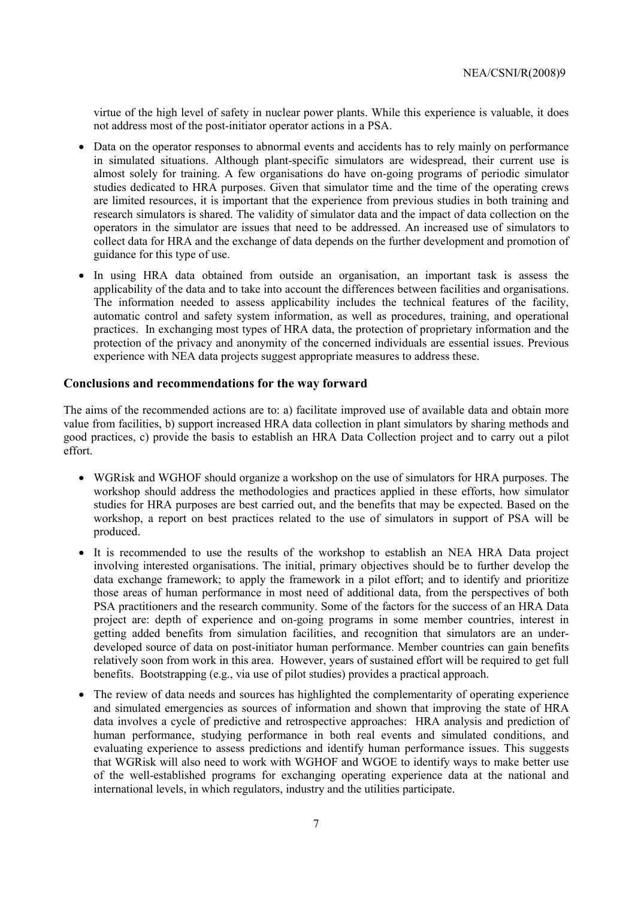virtue of the high level of safety in nuclear power plants. While this experience is valuable, it does not address most of the post-initiator operator actions in a PSA.

- Data on the operator responses to abnormal events and accidents has to rely mainly on performance in simulated situations. Although plant-specific simulators are widespread, their current use is almost solely for training. A few organisations do have on-going programs of periodic simulator studies dedicated to HRA purposes. Given that simulator time and the time of the operating crews are limited resources, it is important that the experience from previous studies in both training and research simulators is shared. The validity of simulator data and the impact of data collection on the operators in the simulator are issues that need to be addressed. An increased use of simulators to collect data for HRA and the exchange of data depends on the further development and promotion of guidance for this type of use.
- In using HRA data obtained from outside an organisation, an important task is assess the applicability of the data and to take into account the differences between facilities and organisations. The information needed to assess applicability includes the technical features of the facility, automatic control and safety system information, as well as procedures, training, and operational practices. In exchanging most types of HRA data, the protection of proprietary information and the protection of the privacy and anonymity of the concerned individuals are essential issues. Previous experience with NEA data projects suggest appropriate measures to address these.

## **Conclusions and recommendations for the way forward**

The aims of the recommended actions are to: a) facilitate improved use of available data and obtain more value from facilities, b) support increased HRA data collection in plant simulators by sharing methods and good practices, c) provide the basis to establish an HRA Data Collection project and to carry out a pilot effort.

- WGRisk and WGHOF should organize a workshop on the use of simulators for HRA purposes. The workshop should address the methodologies and practices applied in these efforts, how simulator studies for HRA purposes are best carried out, and the benefits that may be expected. Based on the workshop, a report on best practices related to the use of simulators in support of PSA will be produced.
- It is recommended to use the results of the workshop to establish an NEA HRA Data project involving interested organisations. The initial, primary objectives should be to further develop the data exchange framework; to apply the framework in a pilot effort; and to identify and prioritize those areas of human performance in most need of additional data, from the perspectives of both PSA practitioners and the research community. Some of the factors for the success of an HRA Data project are: depth of experience and on-going programs in some member countries, interest in getting added benefits from simulation facilities, and recognition that simulators are an underdeveloped source of data on post-initiator human performance. Member countries can gain benefits relatively soon from work in this area. However, years of sustained effort will be required to get full benefits. Bootstrapping (e.g., via use of pilot studies) provides a practical approach.
- The review of data needs and sources has highlighted the complementarity of operating experience and simulated emergencies as sources of information and shown that improving the state of HRA data involves a cycle of predictive and retrospective approaches: HRA analysis and prediction of human performance, studying performance in both real events and simulated conditions, and evaluating experience to assess predictions and identify human performance issues. This suggests that WGRisk will also need to work with WGHOF and WGOE to identify ways to make better use of the well-established programs for exchanging operating experience data at the national and international levels, in which regulators, industry and the utilities participate.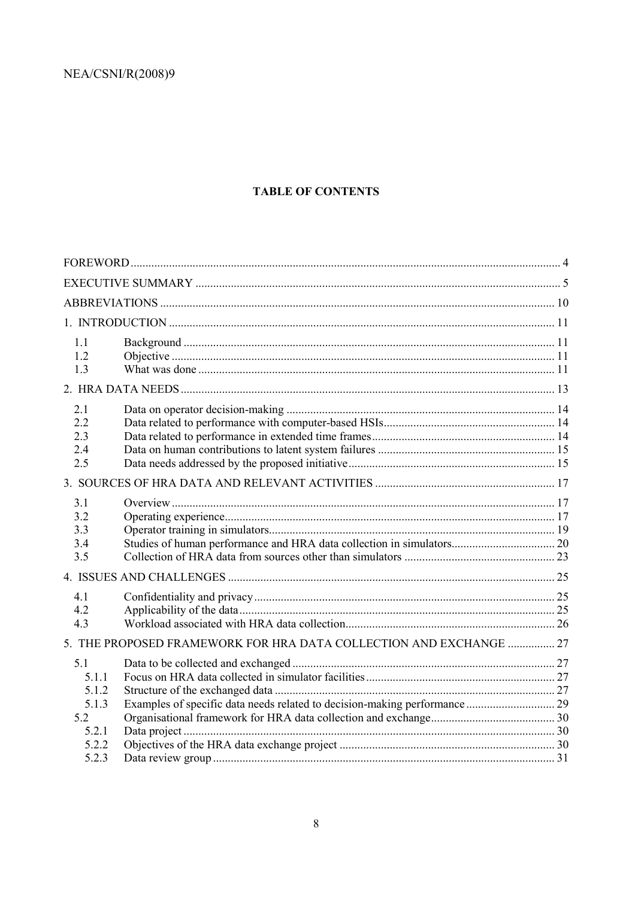# **TABLE OF CONTENTS**

| 1.1<br>1.2<br>1.3                     |                                                                    |  |  |  |
|---------------------------------------|--------------------------------------------------------------------|--|--|--|
|                                       |                                                                    |  |  |  |
| 2.1<br>2.2<br>2.3<br>2.4<br>2.5       |                                                                    |  |  |  |
|                                       |                                                                    |  |  |  |
| 3.1<br>3.2<br>3.3<br>3.4<br>3.5       |                                                                    |  |  |  |
|                                       |                                                                    |  |  |  |
| 4.1<br>4.2<br>4.3                     |                                                                    |  |  |  |
|                                       | 5. THE PROPOSED FRAMEWORK FOR HRA DATA COLLECTION AND EXCHANGE  27 |  |  |  |
| 5.1<br>5.1.1<br>5.1.2<br>5.1.3<br>5.2 |                                                                    |  |  |  |
| 5.2.1<br>5.2.2                        |                                                                    |  |  |  |
| 5.2.3                                 |                                                                    |  |  |  |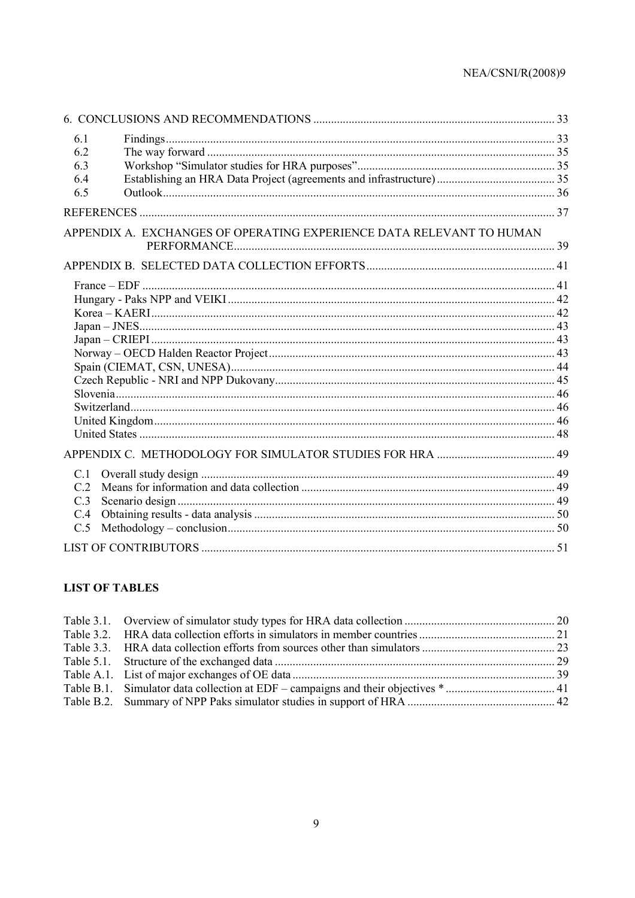| 6.1 |                                                                      |  |
|-----|----------------------------------------------------------------------|--|
| 6.2 |                                                                      |  |
| 6.3 |                                                                      |  |
| 6.4 |                                                                      |  |
| 6.5 |                                                                      |  |
|     |                                                                      |  |
|     | APPENDIX A. EXCHANGES OF OPERATING EXPERIENCE DATA RELEVANT TO HUMAN |  |
|     |                                                                      |  |
|     |                                                                      |  |
|     |                                                                      |  |
|     |                                                                      |  |
|     |                                                                      |  |
|     |                                                                      |  |
|     |                                                                      |  |
|     |                                                                      |  |
|     |                                                                      |  |
|     |                                                                      |  |
|     |                                                                      |  |
|     |                                                                      |  |
|     |                                                                      |  |
|     |                                                                      |  |
| C.1 |                                                                      |  |
| C.2 |                                                                      |  |
| C.3 |                                                                      |  |
| C.4 |                                                                      |  |
| C.5 |                                                                      |  |
|     |                                                                      |  |

## **LIST OF TABLES**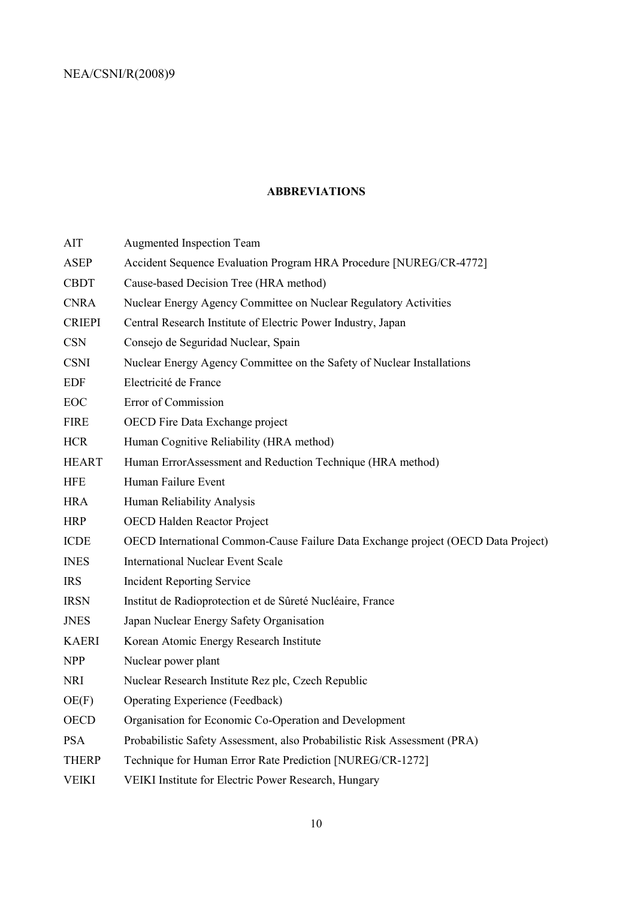# **ABBREVIATIONS**

| AIT           | <b>Augmented Inspection Team</b>                                                  |
|---------------|-----------------------------------------------------------------------------------|
| <b>ASEP</b>   | Accident Sequence Evaluation Program HRA Procedure [NUREG/CR-4772]                |
| <b>CBDT</b>   | Cause-based Decision Tree (HRA method)                                            |
| <b>CNRA</b>   | Nuclear Energy Agency Committee on Nuclear Regulatory Activities                  |
| <b>CRIEPI</b> | Central Research Institute of Electric Power Industry, Japan                      |
| <b>CSN</b>    | Consejo de Seguridad Nuclear, Spain                                               |
| <b>CSNI</b>   | Nuclear Energy Agency Committee on the Safety of Nuclear Installations            |
| <b>EDF</b>    | Electricité de France                                                             |
| EOC           | Error of Commission                                                               |
| <b>FIRE</b>   | OECD Fire Data Exchange project                                                   |
| <b>HCR</b>    | Human Cognitive Reliability (HRA method)                                          |
| <b>HEART</b>  | Human ErrorAssessment and Reduction Technique (HRA method)                        |
| <b>HFE</b>    | Human Failure Event                                                               |
| <b>HRA</b>    | Human Reliability Analysis                                                        |
| <b>HRP</b>    | <b>OECD Halden Reactor Project</b>                                                |
| <b>ICDE</b>   | OECD International Common-Cause Failure Data Exchange project (OECD Data Project) |
| <b>INES</b>   | <b>International Nuclear Event Scale</b>                                          |
| <b>IRS</b>    | <b>Incident Reporting Service</b>                                                 |
| <b>IRSN</b>   | Institut de Radioprotection et de Sûreté Nucléaire, France                        |
| <b>JNES</b>   | Japan Nuclear Energy Safety Organisation                                          |
| <b>KAERI</b>  | Korean Atomic Energy Research Institute                                           |
| <b>NPP</b>    | Nuclear power plant                                                               |
| <b>NRI</b>    | Nuclear Research Institute Rez plc, Czech Republic                                |
| OE(F)         | Operating Experience (Feedback)                                                   |
| <b>OECD</b>   | Organisation for Economic Co-Operation and Development                            |
| <b>PSA</b>    | Probabilistic Safety Assessment, also Probabilistic Risk Assessment (PRA)         |
| <b>THERP</b>  | Technique for Human Error Rate Prediction [NUREG/CR-1272]                         |
| <b>VEIKI</b>  | VEIKI Institute for Electric Power Research, Hungary                              |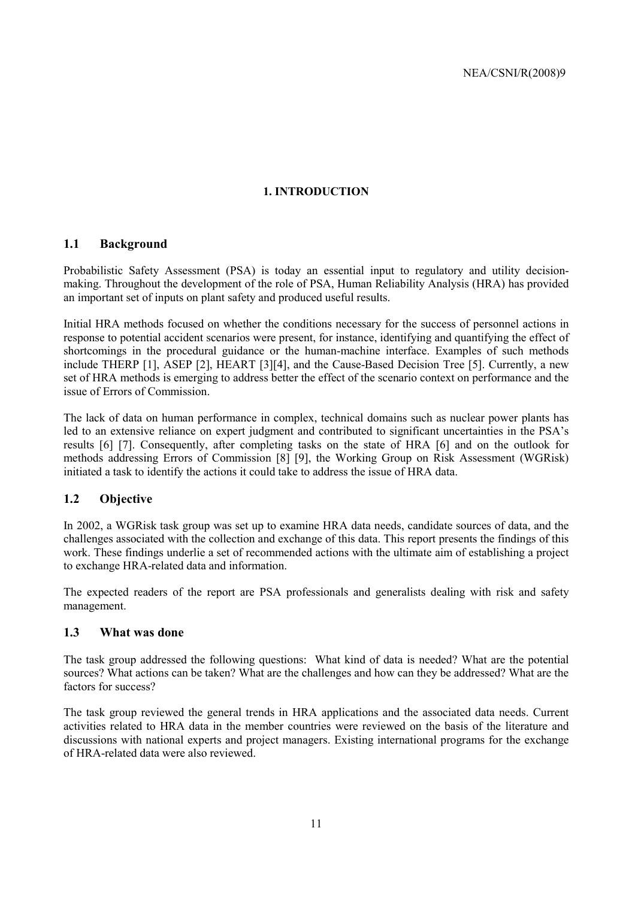## **1. INTRODUCTION**

#### **1.1 Background**

Probabilistic Safety Assessment (PSA) is today an essential input to regulatory and utility decisionmaking. Throughout the development of the role of PSA, Human Reliability Analysis (HRA) has provided an important set of inputs on plant safety and produced useful results.

Initial HRA methods focused on whether the conditions necessary for the success of personnel actions in response to potential accident scenarios were present, for instance, identifying and quantifying the effect of shortcomings in the procedural guidance or the human-machine interface. Examples of such methods include THERP [1], ASEP [2], HEART [3][4], and the Cause-Based Decision Tree [5]. Currently, a new set of HRA methods is emerging to address better the effect of the scenario context on performance and the issue of Errors of Commission.

The lack of data on human performance in complex, technical domains such as nuclear power plants has led to an extensive reliance on expert judgment and contributed to significant uncertainties in the PSA's results [6] [7]. Consequently, after completing tasks on the state of HRA [6] and on the outlook for methods addressing Errors of Commission [8] [9], the Working Group on Risk Assessment (WGRisk) initiated a task to identify the actions it could take to address the issue of HRA data.

#### **1.2 Objective**

In 2002, a WGRisk task group was set up to examine HRA data needs, candidate sources of data, and the challenges associated with the collection and exchange of this data. This report presents the findings of this work. These findings underlie a set of recommended actions with the ultimate aim of establishing a project to exchange HRA-related data and information.

The expected readers of the report are PSA professionals and generalists dealing with risk and safety management.

#### **1.3 What was done**

The task group addressed the following questions: What kind of data is needed? What are the potential sources? What actions can be taken? What are the challenges and how can they be addressed? What are the factors for success?

The task group reviewed the general trends in HRA applications and the associated data needs. Current activities related to HRA data in the member countries were reviewed on the basis of the literature and discussions with national experts and project managers. Existing international programs for the exchange of HRA-related data were also reviewed.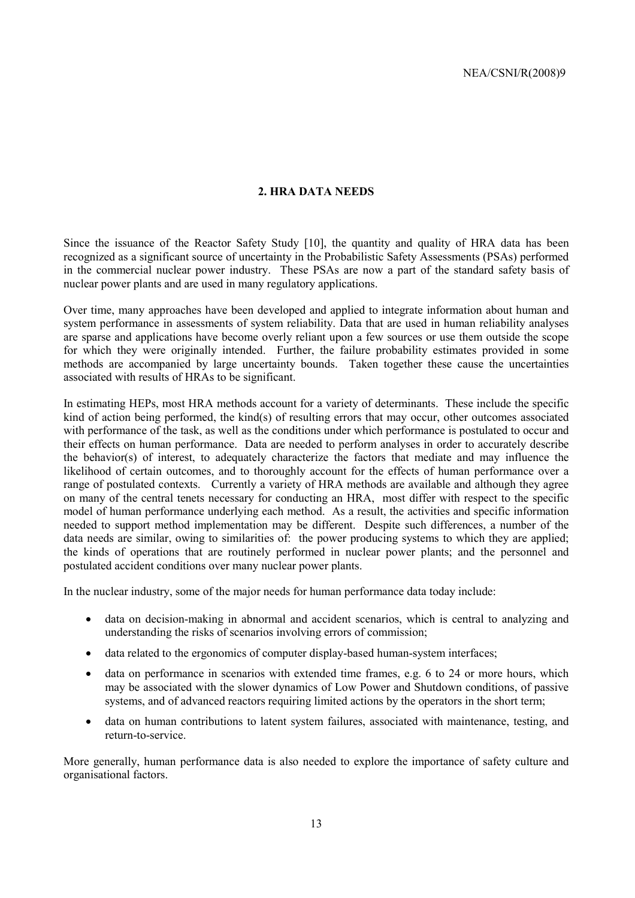#### **2. HRA DATA NEEDS**

Since the issuance of the Reactor Safety Study [10], the quantity and quality of HRA data has been recognized as a significant source of uncertainty in the Probabilistic Safety Assessments (PSAs) performed in the commercial nuclear power industry. These PSAs are now a part of the standard safety basis of nuclear power plants and are used in many regulatory applications.

Over time, many approaches have been developed and applied to integrate information about human and system performance in assessments of system reliability. Data that are used in human reliability analyses are sparse and applications have become overly reliant upon a few sources or use them outside the scope for which they were originally intended. Further, the failure probability estimates provided in some methods are accompanied by large uncertainty bounds. Taken together these cause the uncertainties associated with results of HRAs to be significant.

In estimating HEPs, most HRA methods account for a variety of determinants. These include the specific kind of action being performed, the kind(s) of resulting errors that may occur, other outcomes associated with performance of the task, as well as the conditions under which performance is postulated to occur and their effects on human performance. Data are needed to perform analyses in order to accurately describe the behavior(s) of interest, to adequately characterize the factors that mediate and may influence the likelihood of certain outcomes, and to thoroughly account for the effects of human performance over a range of postulated contexts. Currently a variety of HRA methods are available and although they agree on many of the central tenets necessary for conducting an HRA, most differ with respect to the specific model of human performance underlying each method. As a result, the activities and specific information needed to support method implementation may be different. Despite such differences, a number of the data needs are similar, owing to similarities of: the power producing systems to which they are applied; the kinds of operations that are routinely performed in nuclear power plants; and the personnel and postulated accident conditions over many nuclear power plants.

In the nuclear industry, some of the major needs for human performance data today include:

- data on decision-making in abnormal and accident scenarios, which is central to analyzing and understanding the risks of scenarios involving errors of commission;
- data related to the ergonomics of computer display-based human-system interfaces;
- data on performance in scenarios with extended time frames, e.g. 6 to 24 or more hours, which may be associated with the slower dynamics of Low Power and Shutdown conditions, of passive systems, and of advanced reactors requiring limited actions by the operators in the short term;
- data on human contributions to latent system failures, associated with maintenance, testing, and return-to-service.

More generally, human performance data is also needed to explore the importance of safety culture and organisational factors.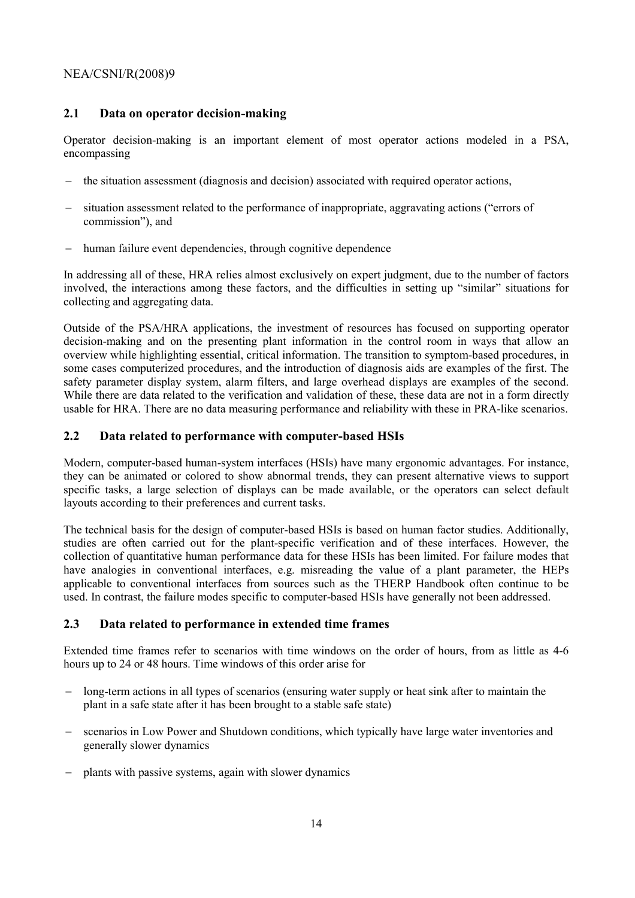# **2.1 Data on operator decision-making**

Operator decision-making is an important element of most operator actions modeled in a PSA, encompassing

- the situation assessment (diagnosis and decision) associated with required operator actions,
- situation assessment related to the performance of inappropriate, aggravating actions ("errors of commission"), and
- human failure event dependencies, through cognitive dependence

In addressing all of these, HRA relies almost exclusively on expert judgment, due to the number of factors involved, the interactions among these factors, and the difficulties in setting up "similar" situations for collecting and aggregating data.

Outside of the PSA/HRA applications, the investment of resources has focused on supporting operator decision-making and on the presenting plant information in the control room in ways that allow an overview while highlighting essential, critical information. The transition to symptom-based procedures, in some cases computerized procedures, and the introduction of diagnosis aids are examples of the first. The safety parameter display system, alarm filters, and large overhead displays are examples of the second. While there are data related to the verification and validation of these, these data are not in a form directly usable for HRA. There are no data measuring performance and reliability with these in PRA-like scenarios.

## **2.2 Data related to performance with computer-based HSIs**

Modern, computer-based human-system interfaces (HSIs) have many ergonomic advantages. For instance, they can be animated or colored to show abnormal trends, they can present alternative views to support specific tasks, a large selection of displays can be made available, or the operators can select default layouts according to their preferences and current tasks.

The technical basis for the design of computer-based HSIs is based on human factor studies. Additionally, studies are often carried out for the plant-specific verification and of these interfaces. However, the collection of quantitative human performance data for these HSIs has been limited. For failure modes that have analogies in conventional interfaces, e.g. misreading the value of a plant parameter, the HEPs applicable to conventional interfaces from sources such as the THERP Handbook often continue to be used. In contrast, the failure modes specific to computer-based HSIs have generally not been addressed.

## **2.3 Data related to performance in extended time frames**

Extended time frames refer to scenarios with time windows on the order of hours, from as little as 4-6 hours up to 24 or 48 hours. Time windows of this order arise for

- − long-term actions in all types of scenarios (ensuring water supply or heat sink after to maintain the plant in a safe state after it has been brought to a stable safe state)
- scenarios in Low Power and Shutdown conditions, which typically have large water inventories and generally slower dynamics
- plants with passive systems, again with slower dynamics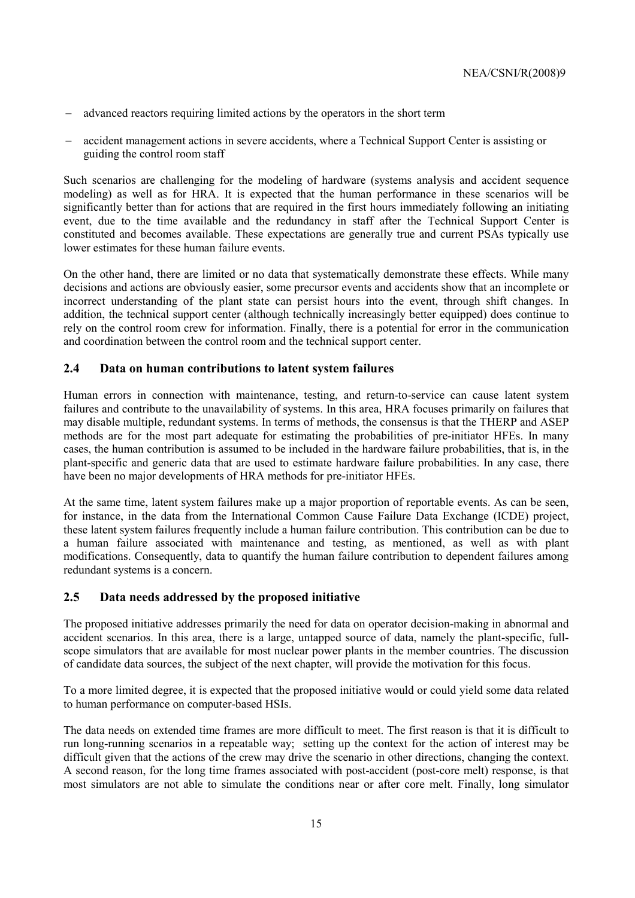- advanced reactors requiring limited actions by the operators in the short term
- accident management actions in severe accidents, where a Technical Support Center is assisting or guiding the control room staff

Such scenarios are challenging for the modeling of hardware (systems analysis and accident sequence modeling) as well as for HRA. It is expected that the human performance in these scenarios will be significantly better than for actions that are required in the first hours immediately following an initiating event, due to the time available and the redundancy in staff after the Technical Support Center is constituted and becomes available. These expectations are generally true and current PSAs typically use lower estimates for these human failure events.

On the other hand, there are limited or no data that systematically demonstrate these effects. While many decisions and actions are obviously easier, some precursor events and accidents show that an incomplete or incorrect understanding of the plant state can persist hours into the event, through shift changes. In addition, the technical support center (although technically increasingly better equipped) does continue to rely on the control room crew for information. Finally, there is a potential for error in the communication and coordination between the control room and the technical support center.

## **2.4 Data on human contributions to latent system failures**

Human errors in connection with maintenance, testing, and return-to-service can cause latent system failures and contribute to the unavailability of systems. In this area, HRA focuses primarily on failures that may disable multiple, redundant systems. In terms of methods, the consensus is that the THERP and ASEP methods are for the most part adequate for estimating the probabilities of pre-initiator HFEs. In many cases, the human contribution is assumed to be included in the hardware failure probabilities, that is, in the plant-specific and generic data that are used to estimate hardware failure probabilities. In any case, there have been no major developments of HRA methods for pre-initiator HFEs.

At the same time, latent system failures make up a major proportion of reportable events. As can be seen, for instance, in the data from the International Common Cause Failure Data Exchange (ICDE) project, these latent system failures frequently include a human failure contribution. This contribution can be due to a human failure associated with maintenance and testing, as mentioned, as well as with plant modifications. Consequently, data to quantify the human failure contribution to dependent failures among redundant systems is a concern.

#### **2.5 Data needs addressed by the proposed initiative**

The proposed initiative addresses primarily the need for data on operator decision-making in abnormal and accident scenarios. In this area, there is a large, untapped source of data, namely the plant-specific, fullscope simulators that are available for most nuclear power plants in the member countries. The discussion of candidate data sources, the subject of the next chapter, will provide the motivation for this focus.

To a more limited degree, it is expected that the proposed initiative would or could yield some data related to human performance on computer-based HSIs.

The data needs on extended time frames are more difficult to meet. The first reason is that it is difficult to run long-running scenarios in a repeatable way; setting up the context for the action of interest may be difficult given that the actions of the crew may drive the scenario in other directions, changing the context. A second reason, for the long time frames associated with post-accident (post-core melt) response, is that most simulators are not able to simulate the conditions near or after core melt. Finally, long simulator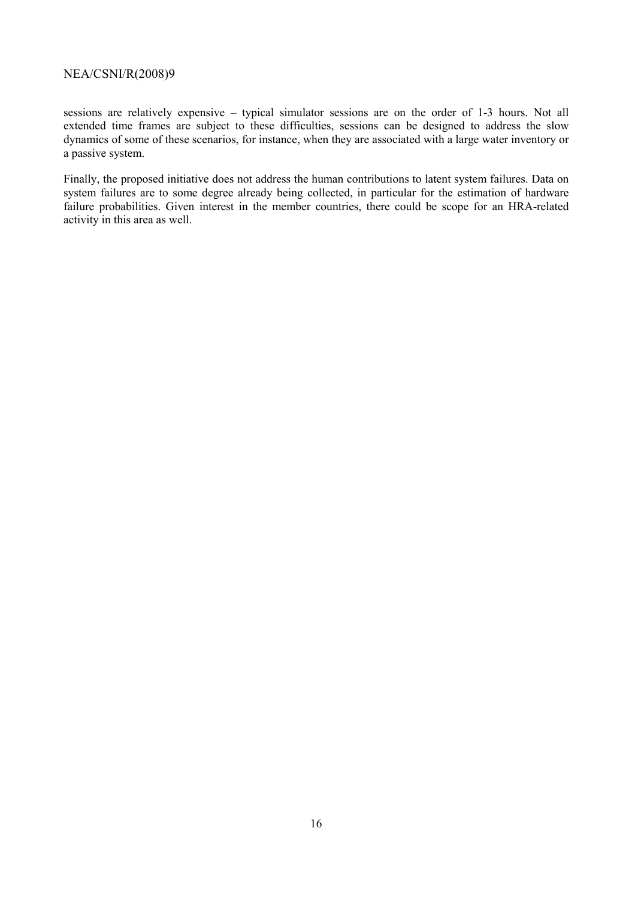sessions are relatively expensive – typical simulator sessions are on the order of 1-3 hours. Not all extended time frames are subject to these difficulties, sessions can be designed to address the slow dynamics of some of these scenarios, for instance, when they are associated with a large water inventory or a passive system.

Finally, the proposed initiative does not address the human contributions to latent system failures. Data on system failures are to some degree already being collected, in particular for the estimation of hardware failure probabilities. Given interest in the member countries, there could be scope for an HRA-related activity in this area as well.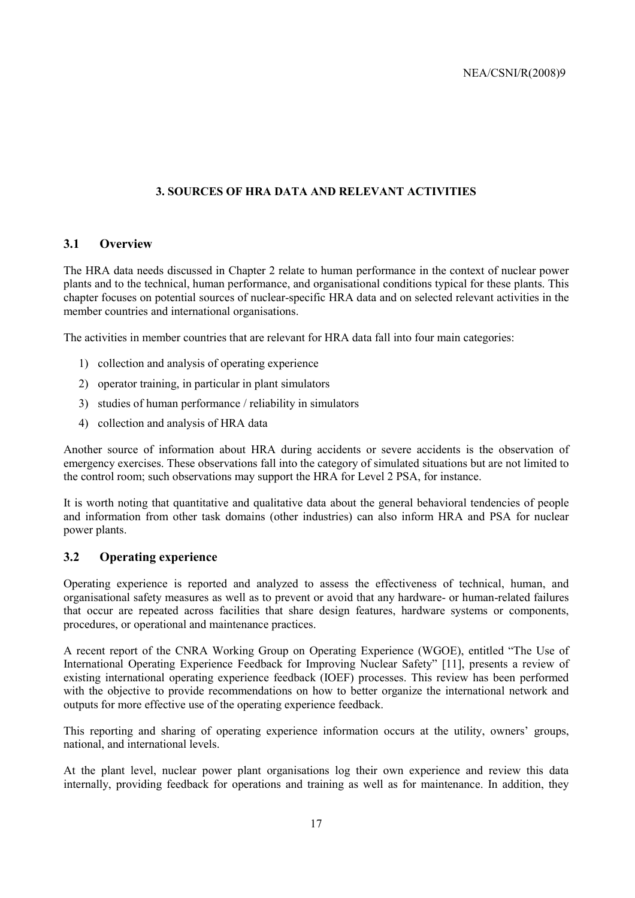# **3. SOURCES OF HRA DATA AND RELEVANT ACTIVITIES**

# **3.1 Overview**

The HRA data needs discussed in Chapter 2 relate to human performance in the context of nuclear power plants and to the technical, human performance, and organisational conditions typical for these plants. This chapter focuses on potential sources of nuclear-specific HRA data and on selected relevant activities in the member countries and international organisations.

The activities in member countries that are relevant for HRA data fall into four main categories:

- 1) collection and analysis of operating experience
- 2) operator training, in particular in plant simulators
- 3) studies of human performance / reliability in simulators
- 4) collection and analysis of HRA data

Another source of information about HRA during accidents or severe accidents is the observation of emergency exercises. These observations fall into the category of simulated situations but are not limited to the control room; such observations may support the HRA for Level 2 PSA, for instance.

It is worth noting that quantitative and qualitative data about the general behavioral tendencies of people and information from other task domains (other industries) can also inform HRA and PSA for nuclear power plants.

#### **3.2 Operating experience**

Operating experience is reported and analyzed to assess the effectiveness of technical, human, and organisational safety measures as well as to prevent or avoid that any hardware- or human-related failures that occur are repeated across facilities that share design features, hardware systems or components, procedures, or operational and maintenance practices.

A recent report of the CNRA Working Group on Operating Experience (WGOE), entitled "The Use of International Operating Experience Feedback for Improving Nuclear Safety" [11], presents a review of existing international operating experience feedback (IOEF) processes. This review has been performed with the objective to provide recommendations on how to better organize the international network and outputs for more effective use of the operating experience feedback.

This reporting and sharing of operating experience information occurs at the utility, owners' groups, national, and international levels.

At the plant level, nuclear power plant organisations log their own experience and review this data internally, providing feedback for operations and training as well as for maintenance. In addition, they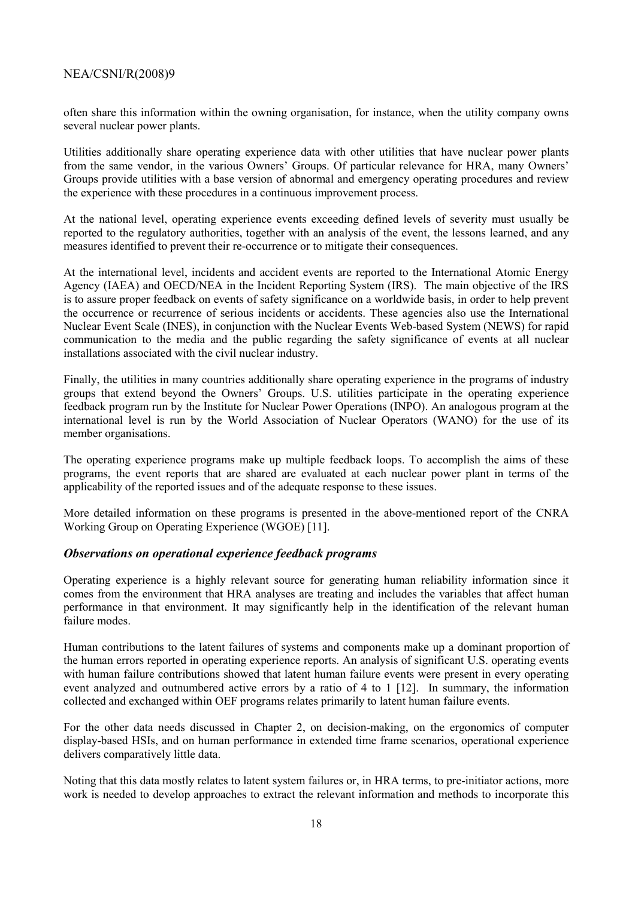often share this information within the owning organisation, for instance, when the utility company owns several nuclear power plants.

Utilities additionally share operating experience data with other utilities that have nuclear power plants from the same vendor, in the various Owners' Groups. Of particular relevance for HRA, many Owners' Groups provide utilities with a base version of abnormal and emergency operating procedures and review the experience with these procedures in a continuous improvement process.

At the national level, operating experience events exceeding defined levels of severity must usually be reported to the regulatory authorities, together with an analysis of the event, the lessons learned, and any measures identified to prevent their re-occurrence or to mitigate their consequences.

At the international level, incidents and accident events are reported to the International Atomic Energy Agency (IAEA) and OECD/NEA in the Incident Reporting System (IRS). The main objective of the IRS is to assure proper feedback on events of safety significance on a worldwide basis, in order to help prevent the occurrence or recurrence of serious incidents or accidents. These agencies also use the International Nuclear Event Scale (INES), in conjunction with the Nuclear Events Web-based System (NEWS) for rapid communication to the media and the public regarding the safety significance of events at all nuclear installations associated with the civil nuclear industry.

Finally, the utilities in many countries additionally share operating experience in the programs of industry groups that extend beyond the Owners' Groups. U.S. utilities participate in the operating experience feedback program run by the Institute for Nuclear Power Operations (INPO). An analogous program at the international level is run by the World Association of Nuclear Operators (WANO) for the use of its member organisations.

The operating experience programs make up multiple feedback loops. To accomplish the aims of these programs, the event reports that are shared are evaluated at each nuclear power plant in terms of the applicability of the reported issues and of the adequate response to these issues.

More detailed information on these programs is presented in the above-mentioned report of the CNRA Working Group on Operating Experience (WGOE) [11].

#### *Observations on operational experience feedback programs*

Operating experience is a highly relevant source for generating human reliability information since it comes from the environment that HRA analyses are treating and includes the variables that affect human performance in that environment. It may significantly help in the identification of the relevant human failure modes.

Human contributions to the latent failures of systems and components make up a dominant proportion of the human errors reported in operating experience reports. An analysis of significant U.S. operating events with human failure contributions showed that latent human failure events were present in every operating event analyzed and outnumbered active errors by a ratio of 4 to 1 [12]. In summary, the information collected and exchanged within OEF programs relates primarily to latent human failure events.

For the other data needs discussed in Chapter 2, on decision-making, on the ergonomics of computer display-based HSIs, and on human performance in extended time frame scenarios, operational experience delivers comparatively little data.

Noting that this data mostly relates to latent system failures or, in HRA terms, to pre-initiator actions, more work is needed to develop approaches to extract the relevant information and methods to incorporate this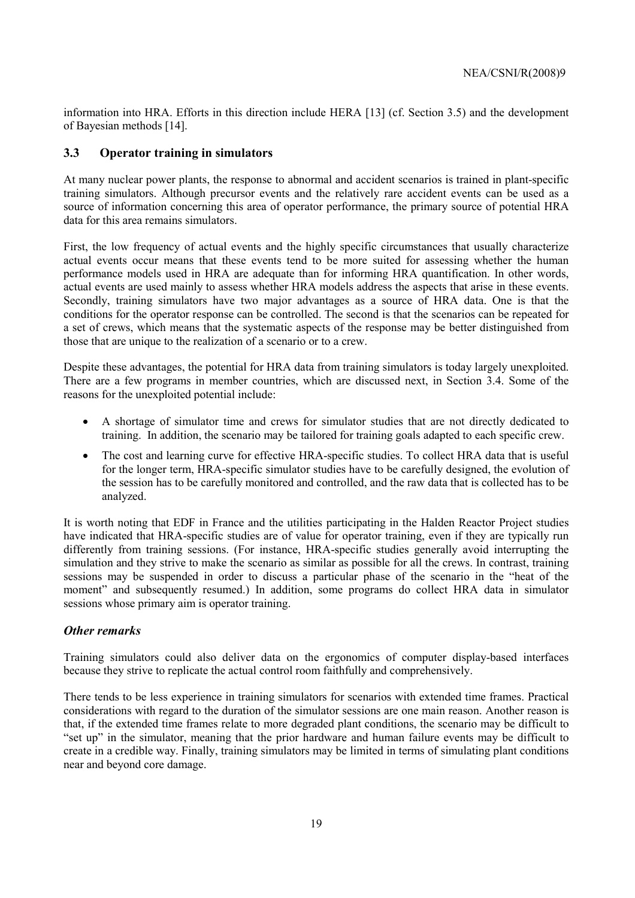information into HRA. Efforts in this direction include HERA [13] (cf. Section 3.5) and the development of Bayesian methods [14].

# **3.3 Operator training in simulators**

At many nuclear power plants, the response to abnormal and accident scenarios is trained in plant-specific training simulators. Although precursor events and the relatively rare accident events can be used as a source of information concerning this area of operator performance, the primary source of potential HRA data for this area remains simulators.

First, the low frequency of actual events and the highly specific circumstances that usually characterize actual events occur means that these events tend to be more suited for assessing whether the human performance models used in HRA are adequate than for informing HRA quantification. In other words, actual events are used mainly to assess whether HRA models address the aspects that arise in these events. Secondly, training simulators have two major advantages as a source of HRA data. One is that the conditions for the operator response can be controlled. The second is that the scenarios can be repeated for a set of crews, which means that the systematic aspects of the response may be better distinguished from those that are unique to the realization of a scenario or to a crew.

Despite these advantages, the potential for HRA data from training simulators is today largely unexploited. There are a few programs in member countries, which are discussed next, in Section 3.4. Some of the reasons for the unexploited potential include:

- A shortage of simulator time and crews for simulator studies that are not directly dedicated to training. In addition, the scenario may be tailored for training goals adapted to each specific crew.
- The cost and learning curve for effective HRA-specific studies. To collect HRA data that is useful for the longer term, HRA-specific simulator studies have to be carefully designed, the evolution of the session has to be carefully monitored and controlled, and the raw data that is collected has to be analyzed.

It is worth noting that EDF in France and the utilities participating in the Halden Reactor Project studies have indicated that HRA-specific studies are of value for operator training, even if they are typically run differently from training sessions. (For instance, HRA-specific studies generally avoid interrupting the simulation and they strive to make the scenario as similar as possible for all the crews. In contrast, training sessions may be suspended in order to discuss a particular phase of the scenario in the "heat of the moment" and subsequently resumed.) In addition, some programs do collect HRA data in simulator sessions whose primary aim is operator training.

# *Other remarks*

Training simulators could also deliver data on the ergonomics of computer display-based interfaces because they strive to replicate the actual control room faithfully and comprehensively.

There tends to be less experience in training simulators for scenarios with extended time frames. Practical considerations with regard to the duration of the simulator sessions are one main reason. Another reason is that, if the extended time frames relate to more degraded plant conditions, the scenario may be difficult to "set up" in the simulator, meaning that the prior hardware and human failure events may be difficult to create in a credible way. Finally, training simulators may be limited in terms of simulating plant conditions near and beyond core damage.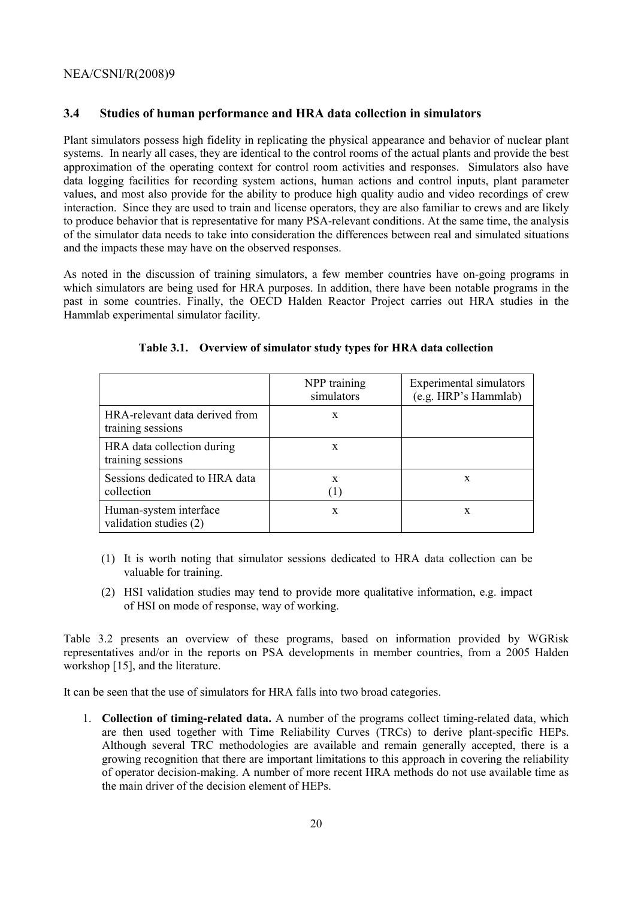# **3.4 Studies of human performance and HRA data collection in simulators**

Plant simulators possess high fidelity in replicating the physical appearance and behavior of nuclear plant systems. In nearly all cases, they are identical to the control rooms of the actual plants and provide the best approximation of the operating context for control room activities and responses. Simulators also have data logging facilities for recording system actions, human actions and control inputs, plant parameter values, and most also provide for the ability to produce high quality audio and video recordings of crew interaction. Since they are used to train and license operators, they are also familiar to crews and are likely to produce behavior that is representative for many PSA-relevant conditions. At the same time, the analysis of the simulator data needs to take into consideration the differences between real and simulated situations and the impacts these may have on the observed responses.

As noted in the discussion of training simulators, a few member countries have on-going programs in which simulators are being used for HRA purposes. In addition, there have been notable programs in the past in some countries. Finally, the OECD Halden Reactor Project carries out HRA studies in the Hammlab experimental simulator facility.

|                                                     | NPP training<br>simulators | Experimental simulators<br>(e.g. HRP's Hammlab) |
|-----------------------------------------------------|----------------------------|-------------------------------------------------|
| HRA-relevant data derived from<br>training sessions | X                          |                                                 |
| HRA data collection during<br>training sessions     | X                          |                                                 |
| Sessions dedicated to HRA data<br>collection        | X<br>(1)                   | X                                               |
| Human-system interface<br>validation studies (2)    | X                          | X                                               |

#### **Table 3.1. Overview of simulator study types for HRA data collection**

- (1) It is worth noting that simulator sessions dedicated to HRA data collection can be valuable for training.
- (2) HSI validation studies may tend to provide more qualitative information, e.g. impact of HSI on mode of response, way of working.

Table 3.2 presents an overview of these programs, based on information provided by WGRisk representatives and/or in the reports on PSA developments in member countries, from a 2005 Halden workshop [15], and the literature.

It can be seen that the use of simulators for HRA falls into two broad categories.

1. **Collection of timing-related data.** A number of the programs collect timing-related data, which are then used together with Time Reliability Curves (TRCs) to derive plant-specific HEPs. Although several TRC methodologies are available and remain generally accepted, there is a growing recognition that there are important limitations to this approach in covering the reliability of operator decision-making. A number of more recent HRA methods do not use available time as the main driver of the decision element of HEPs.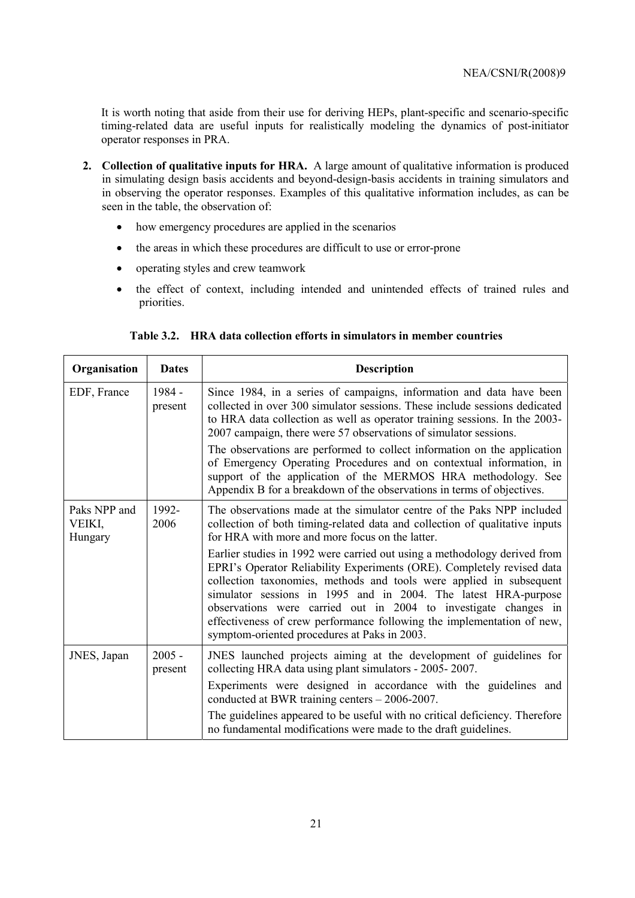It is worth noting that aside from their use for deriving HEPs, plant-specific and scenario-specific timing-related data are useful inputs for realistically modeling the dynamics of post-initiator operator responses in PRA.

- **2. Collection of qualitative inputs for HRA.** A large amount of qualitative information is produced in simulating design basis accidents and beyond-design-basis accidents in training simulators and in observing the operator responses. Examples of this qualitative information includes, as can be seen in the table, the observation of:
	- how emergency procedures are applied in the scenarios
	- the areas in which these procedures are difficult to use or error-prone
	- operating styles and crew teamwork
	- the effect of context, including intended and unintended effects of trained rules and priorities.

| Organisation                      | <b>Dates</b>        | <b>Description</b>                                                                                                                                                                                                                                                                                                                                                                                                                                                                                                                                                                                                                                                                                    |
|-----------------------------------|---------------------|-------------------------------------------------------------------------------------------------------------------------------------------------------------------------------------------------------------------------------------------------------------------------------------------------------------------------------------------------------------------------------------------------------------------------------------------------------------------------------------------------------------------------------------------------------------------------------------------------------------------------------------------------------------------------------------------------------|
| EDF, France                       | 1984 -<br>present   | Since 1984, in a series of campaigns, information and data have been<br>collected in over 300 simulator sessions. These include sessions dedicated<br>to HRA data collection as well as operator training sessions. In the 2003-<br>2007 campaign, there were 57 observations of simulator sessions.<br>The observations are performed to collect information on the application<br>of Emergency Operating Procedures and on contextual information, in<br>support of the application of the MERMOS HRA methodology. See<br>Appendix B for a breakdown of the observations in terms of objectives.                                                                                                    |
| Paks NPP and<br>VEIKI,<br>Hungary | 1992-<br>2006       | The observations made at the simulator centre of the Paks NPP included<br>collection of both timing-related data and collection of qualitative inputs<br>for HRA with more and more focus on the latter.<br>Earlier studies in 1992 were carried out using a methodology derived from<br>EPRI's Operator Reliability Experiments (ORE). Completely revised data<br>collection taxonomies, methods and tools were applied in subsequent<br>simulator sessions in 1995 and in 2004. The latest HRA-purpose<br>observations were carried out in 2004 to investigate changes in<br>effectiveness of crew performance following the implementation of new,<br>symptom-oriented procedures at Paks in 2003. |
| JNES, Japan                       | $2005 -$<br>present | JNES launched projects aiming at the development of guidelines for<br>collecting HRA data using plant simulators - 2005-2007.<br>Experiments were designed in accordance with the guidelines and<br>conducted at BWR training centers - 2006-2007.<br>The guidelines appeared to be useful with no critical deficiency. Therefore<br>no fundamental modifications were made to the draft guidelines.                                                                                                                                                                                                                                                                                                  |

**Table 3.2. HRA data collection efforts in simulators in member countries**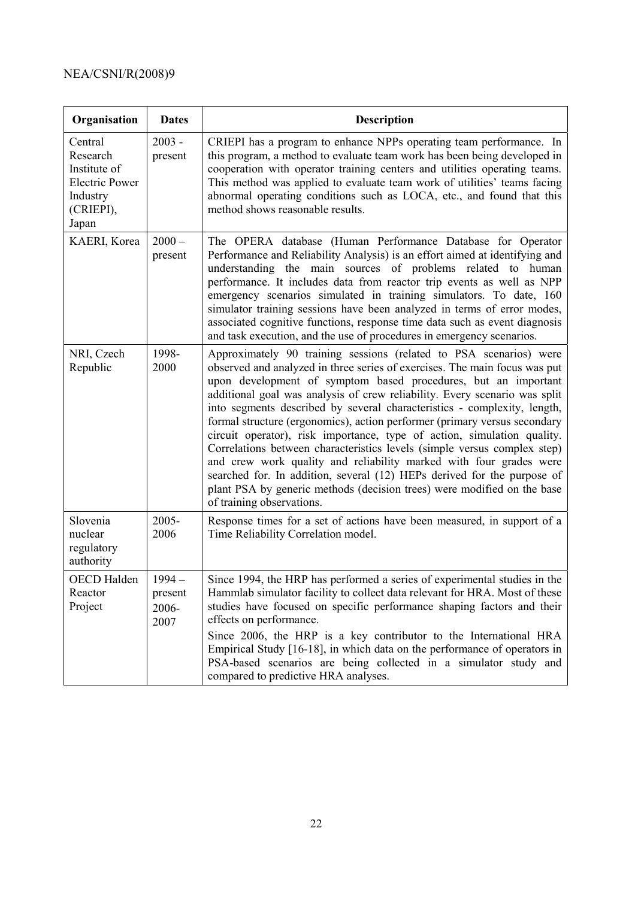| Organisation                                                                                   | <b>Dates</b>                         | <b>Description</b>                                                                                                                                                                                                                                                                                                                                                                                                                                                                                                                                                                                                                                                                                                                                                                                                                                                        |  |
|------------------------------------------------------------------------------------------------|--------------------------------------|---------------------------------------------------------------------------------------------------------------------------------------------------------------------------------------------------------------------------------------------------------------------------------------------------------------------------------------------------------------------------------------------------------------------------------------------------------------------------------------------------------------------------------------------------------------------------------------------------------------------------------------------------------------------------------------------------------------------------------------------------------------------------------------------------------------------------------------------------------------------------|--|
| Central<br>Research<br>Institute of<br><b>Electric Power</b><br>Industry<br>(CRIEPI),<br>Japan | $2003 -$<br>present                  | CRIEPI has a program to enhance NPPs operating team performance. In<br>this program, a method to evaluate team work has been being developed in<br>cooperation with operator training centers and utilities operating teams.<br>This method was applied to evaluate team work of utilities' teams facing<br>abnormal operating conditions such as LOCA, etc., and found that this<br>method shows reasonable results.                                                                                                                                                                                                                                                                                                                                                                                                                                                     |  |
| KAERI, Korea                                                                                   | $2000 -$<br>present                  | The OPERA database (Human Performance Database for Operator<br>Performance and Reliability Analysis) is an effort aimed at identifying and<br>understanding the main sources of problems related to human<br>performance. It includes data from reactor trip events as well as NPP<br>emergency scenarios simulated in training simulators. To date, 160<br>simulator training sessions have been analyzed in terms of error modes,<br>associated cognitive functions, response time data such as event diagnosis<br>and task execution, and the use of procedures in emergency scenarios.                                                                                                                                                                                                                                                                                |  |
| NRI, Czech<br>Republic                                                                         | 1998-<br>2000                        | Approximately 90 training sessions (related to PSA scenarios) were<br>observed and analyzed in three series of exercises. The main focus was put<br>upon development of symptom based procedures, but an important<br>additional goal was analysis of crew reliability. Every scenario was split<br>into segments described by several characteristics - complexity, length,<br>formal structure (ergonomics), action performer (primary versus secondary<br>circuit operator), risk importance, type of action, simulation quality.<br>Correlations between characteristics levels (simple versus complex step)<br>and crew work quality and reliability marked with four grades were<br>searched for. In addition, several (12) HEPs derived for the purpose of<br>plant PSA by generic methods (decision trees) were modified on the base<br>of training observations. |  |
| Slovenia<br>nuclear<br>regulatory<br>authority                                                 | 2005-<br>2006                        | Response times for a set of actions have been measured, in support of a<br>Time Reliability Correlation model.                                                                                                                                                                                                                                                                                                                                                                                                                                                                                                                                                                                                                                                                                                                                                            |  |
| OECD Halden<br>Reactor<br>Project                                                              | $1994 -$<br>present<br>2006-<br>2007 | Since 1994, the HRP has performed a series of experimental studies in the<br>Hammlab simulator facility to collect data relevant for HRA. Most of these<br>studies have focused on specific performance shaping factors and their<br>effects on performance.<br>Since 2006, the HRP is a key contributor to the International HRA<br>Empirical Study [16-18], in which data on the performance of operators in<br>PSA-based scenarios are being collected in a simulator study and<br>compared to predictive HRA analyses.                                                                                                                                                                                                                                                                                                                                                |  |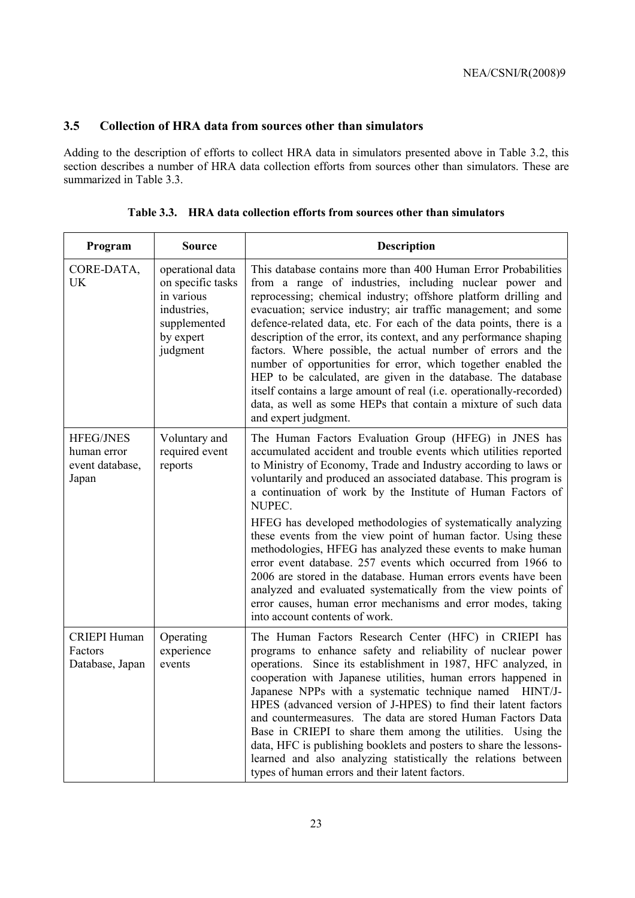# **3.5 Collection of HRA data from sources other than simulators**

Adding to the description of efforts to collect HRA data in simulators presented above in Table 3.2, this section describes a number of HRA data collection efforts from sources other than simulators. These are summarized in Table 3.3.

| Program                                                     | <b>Source</b>                                                                                               | <b>Description</b>                                                                                                                                                                                                                                                                                                                                                                                                                                                                                                                                                                                                                                                                                                                                                                                                                             |
|-------------------------------------------------------------|-------------------------------------------------------------------------------------------------------------|------------------------------------------------------------------------------------------------------------------------------------------------------------------------------------------------------------------------------------------------------------------------------------------------------------------------------------------------------------------------------------------------------------------------------------------------------------------------------------------------------------------------------------------------------------------------------------------------------------------------------------------------------------------------------------------------------------------------------------------------------------------------------------------------------------------------------------------------|
| CORE-DATA,<br><b>UK</b>                                     | operational data<br>on specific tasks<br>in various<br>industries.<br>supplemented<br>by expert<br>judgment | This database contains more than 400 Human Error Probabilities<br>from a range of industries, including nuclear power and<br>reprocessing; chemical industry; offshore platform drilling and<br>evacuation; service industry; air traffic management; and some<br>defence-related data, etc. For each of the data points, there is a<br>description of the error, its context, and any performance shaping<br>factors. Where possible, the actual number of errors and the<br>number of opportunities for error, which together enabled the<br>HEP to be calculated, are given in the database. The database<br>itself contains a large amount of real (i.e. operationally-recorded)<br>data, as well as some HEPs that contain a mixture of such data<br>and expert judgment.                                                                 |
| <b>HFEG/JNES</b><br>human error<br>event database,<br>Japan | Voluntary and<br>required event<br>reports                                                                  | The Human Factors Evaluation Group (HFEG) in JNES has<br>accumulated accident and trouble events which utilities reported<br>to Ministry of Economy, Trade and Industry according to laws or<br>voluntarily and produced an associated database. This program is<br>a continuation of work by the Institute of Human Factors of<br>NUPEC.<br>HFEG has developed methodologies of systematically analyzing<br>these events from the view point of human factor. Using these<br>methodologies, HFEG has analyzed these events to make human<br>error event database. 257 events which occurred from 1966 to<br>2006 are stored in the database. Human errors events have been<br>analyzed and evaluated systematically from the view points of<br>error causes, human error mechanisms and error modes, taking<br>into account contents of work. |
| <b>CRIEPI Human</b><br>Factors<br>Database, Japan           | Operating<br>experience<br>events                                                                           | The Human Factors Research Center (HFC) in CRIEPI has<br>programs to enhance safety and reliability of nuclear power<br>operations. Since its establishment in 1987, HFC analyzed, in<br>cooperation with Japanese utilities, human errors happened in<br>Japanese NPPs with a systematic technique named HINT/J-<br>HPES (advanced version of J-HPES) to find their latent factors<br>and countermeasures. The data are stored Human Factors Data<br>Base in CRIEPI to share them among the utilities. Using the<br>data, HFC is publishing booklets and posters to share the lessons-<br>learned and also analyzing statistically the relations between<br>types of human errors and their latent factors.                                                                                                                                   |

**Table 3.3. HRA data collection efforts from sources other than simulators**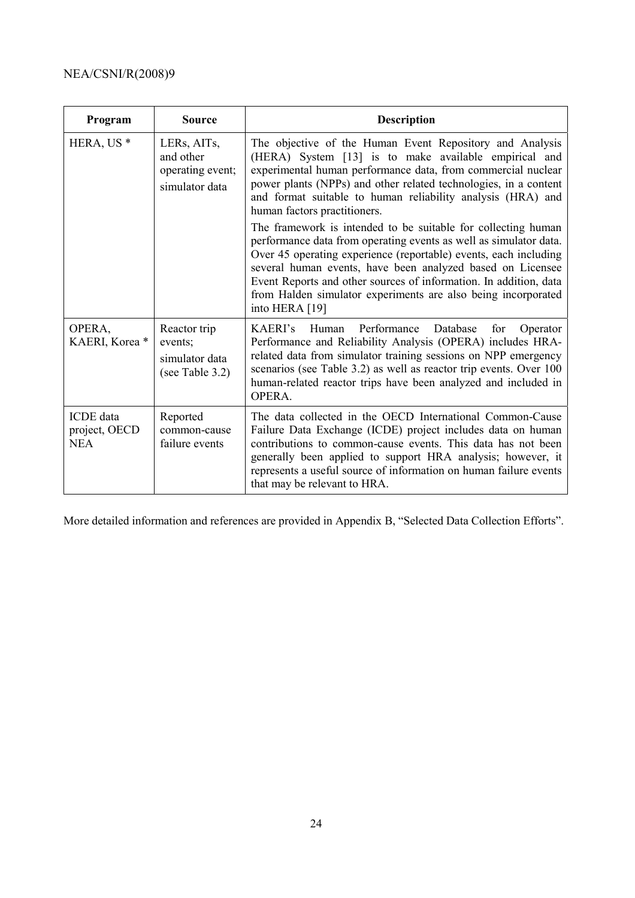| Program                                                                                 | <b>Source</b>                                                | <b>Description</b>                                                                                                                                                                                                                                                                                                                                                                                                           |
|-----------------------------------------------------------------------------------------|--------------------------------------------------------------|------------------------------------------------------------------------------------------------------------------------------------------------------------------------------------------------------------------------------------------------------------------------------------------------------------------------------------------------------------------------------------------------------------------------------|
| HERA, US <sup>*</sup><br>LERs, AITs,<br>and other<br>operating event;<br>simulator data |                                                              | The objective of the Human Event Repository and Analysis<br>(HERA) System [13] is to make available empirical and<br>experimental human performance data, from commercial nuclear<br>power plants (NPPs) and other related technologies, in a content<br>and format suitable to human reliability analysis (HRA) and<br>human factors practitioners.                                                                         |
|                                                                                         |                                                              | The framework is intended to be suitable for collecting human<br>performance data from operating events as well as simulator data.<br>Over 45 operating experience (reportable) events, each including<br>several human events, have been analyzed based on Licensee<br>Event Reports and other sources of information. In addition, data<br>from Halden simulator experiments are also being incorporated<br>into HERA [19] |
| OPERA,<br>KAERI, Korea*                                                                 | Reactor trip<br>events;<br>simulator data<br>(see Table 3.2) | KARI's<br>Performance Database<br>Human<br>for<br>Operator<br>Performance and Reliability Analysis (OPERA) includes HRA-<br>related data from simulator training sessions on NPP emergency<br>scenarios (see Table 3.2) as well as reactor trip events. Over 100<br>human-related reactor trips have been analyzed and included in<br>OPERA.                                                                                 |
| <b>ICDE</b> data<br>project, OECD<br><b>NEA</b>                                         | Reported<br>common-cause<br>failure events                   | The data collected in the OECD International Common-Cause<br>Failure Data Exchange (ICDE) project includes data on human<br>contributions to common-cause events. This data has not been<br>generally been applied to support HRA analysis; however, it<br>represents a useful source of information on human failure events<br>that may be relevant to HRA.                                                                 |

More detailed information and references are provided in Appendix B, "Selected Data Collection Efforts".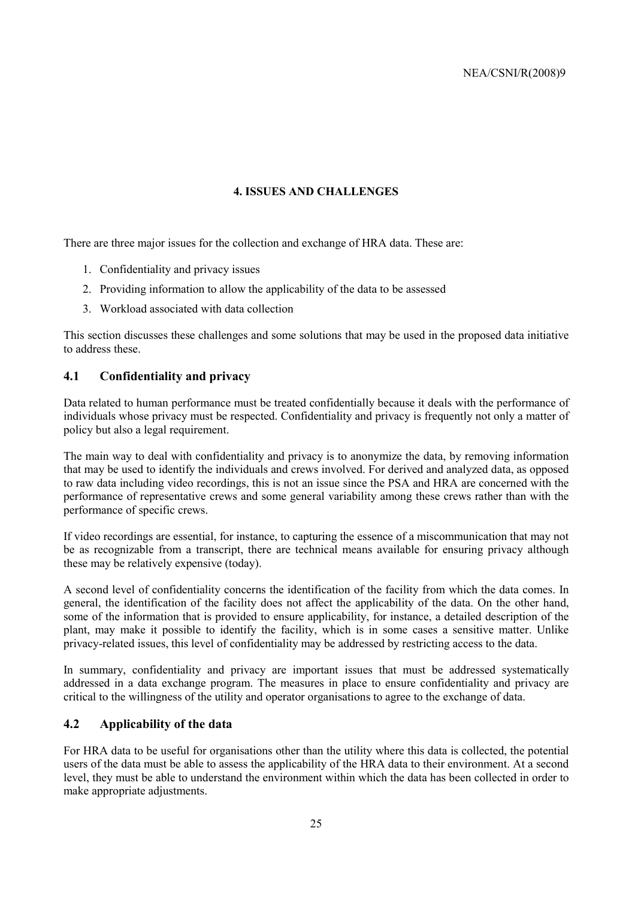## **4. ISSUES AND CHALLENGES**

There are three major issues for the collection and exchange of HRA data. These are:

- 1. Confidentiality and privacy issues
- 2. Providing information to allow the applicability of the data to be assessed
- 3. Workload associated with data collection

This section discusses these challenges and some solutions that may be used in the proposed data initiative to address these.

#### **4.1 Confidentiality and privacy**

Data related to human performance must be treated confidentially because it deals with the performance of individuals whose privacy must be respected. Confidentiality and privacy is frequently not only a matter of policy but also a legal requirement.

The main way to deal with confidentiality and privacy is to anonymize the data, by removing information that may be used to identify the individuals and crews involved. For derived and analyzed data, as opposed to raw data including video recordings, this is not an issue since the PSA and HRA are concerned with the performance of representative crews and some general variability among these crews rather than with the performance of specific crews.

If video recordings are essential, for instance, to capturing the essence of a miscommunication that may not be as recognizable from a transcript, there are technical means available for ensuring privacy although these may be relatively expensive (today).

A second level of confidentiality concerns the identification of the facility from which the data comes. In general, the identification of the facility does not affect the applicability of the data. On the other hand, some of the information that is provided to ensure applicability, for instance, a detailed description of the plant, may make it possible to identify the facility, which is in some cases a sensitive matter. Unlike privacy-related issues, this level of confidentiality may be addressed by restricting access to the data.

In summary, confidentiality and privacy are important issues that must be addressed systematically addressed in a data exchange program. The measures in place to ensure confidentiality and privacy are critical to the willingness of the utility and operator organisations to agree to the exchange of data.

#### **4.2 Applicability of the data**

For HRA data to be useful for organisations other than the utility where this data is collected, the potential users of the data must be able to assess the applicability of the HRA data to their environment. At a second level, they must be able to understand the environment within which the data has been collected in order to make appropriate adjustments.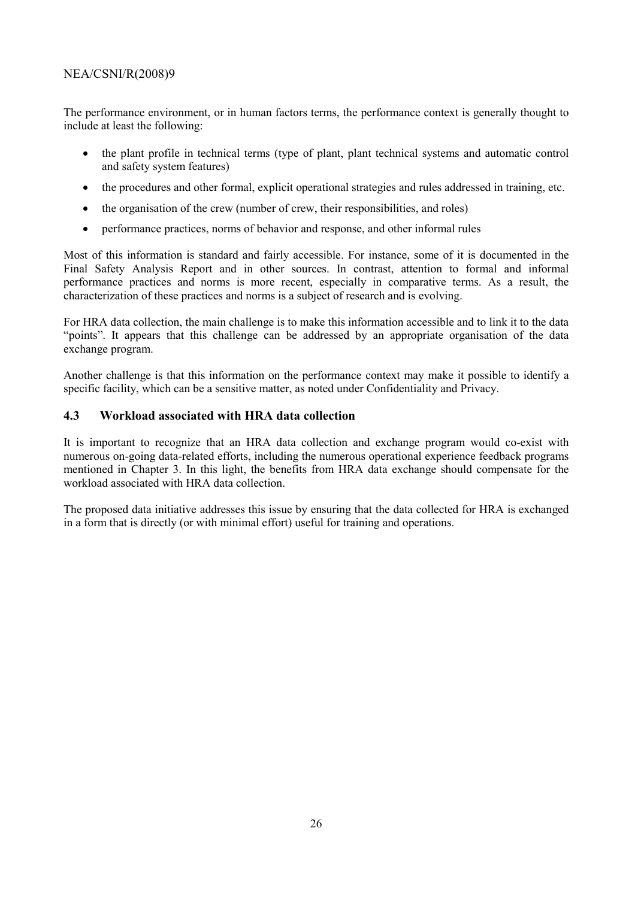The performance environment, or in human factors terms, the performance context is generally thought to include at least the following:

- the plant profile in technical terms (type of plant, plant technical systems and automatic control and safety system features)
- the procedures and other formal, explicit operational strategies and rules addressed in training, etc.
- the organisation of the crew (number of crew, their responsibilities, and roles)
- performance practices, norms of behavior and response, and other informal rules

Most of this information is standard and fairly accessible. For instance, some of it is documented in the Final Safety Analysis Report and in other sources. In contrast, attention to formal and informal performance practices and norms is more recent, especially in comparative terms. As a result, the characterization of these practices and norms is a subject of research and is evolving.

For HRA data collection, the main challenge is to make this information accessible and to link it to the data "points". It appears that this challenge can be addressed by an appropriate organisation of the data exchange program.

Another challenge is that this information on the performance context may make it possible to identify a specific facility, which can be a sensitive matter, as noted under Confidentiality and Privacy.

# **4.3 Workload associated with HRA data collection**

It is important to recognize that an HRA data collection and exchange program would co-exist with numerous on-going data-related efforts, including the numerous operational experience feedback programs mentioned in Chapter 3. In this light, the benefits from HRA data exchange should compensate for the workload associated with HRA data collection.

The proposed data initiative addresses this issue by ensuring that the data collected for HRA is exchanged in a form that is directly (or with minimal effort) useful for training and operations.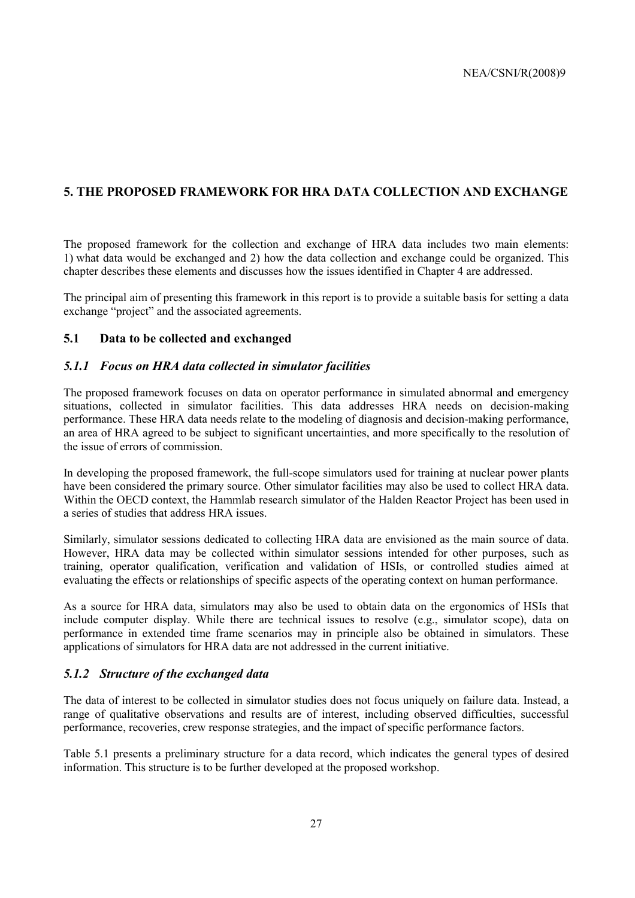# **5. THE PROPOSED FRAMEWORK FOR HRA DATA COLLECTION AND EXCHANGE**

The proposed framework for the collection and exchange of HRA data includes two main elements: 1) what data would be exchanged and 2) how the data collection and exchange could be organized. This chapter describes these elements and discusses how the issues identified in Chapter 4 are addressed.

The principal aim of presenting this framework in this report is to provide a suitable basis for setting a data exchange "project" and the associated agreements.

#### **5.1 Data to be collected and exchanged**

## *5.1.1 Focus on HRA data collected in simulator facilities*

The proposed framework focuses on data on operator performance in simulated abnormal and emergency situations, collected in simulator facilities. This data addresses HRA needs on decision-making performance. These HRA data needs relate to the modeling of diagnosis and decision-making performance, an area of HRA agreed to be subject to significant uncertainties, and more specifically to the resolution of the issue of errors of commission.

In developing the proposed framework, the full-scope simulators used for training at nuclear power plants have been considered the primary source. Other simulator facilities may also be used to collect HRA data. Within the OECD context, the Hammlab research simulator of the Halden Reactor Project has been used in a series of studies that address HRA issues.

Similarly, simulator sessions dedicated to collecting HRA data are envisioned as the main source of data. However, HRA data may be collected within simulator sessions intended for other purposes, such as training, operator qualification, verification and validation of HSIs, or controlled studies aimed at evaluating the effects or relationships of specific aspects of the operating context on human performance.

As a source for HRA data, simulators may also be used to obtain data on the ergonomics of HSIs that include computer display. While there are technical issues to resolve (e.g., simulator scope), data on performance in extended time frame scenarios may in principle also be obtained in simulators. These applications of simulators for HRA data are not addressed in the current initiative.

#### *5.1.2 Structure of the exchanged data*

The data of interest to be collected in simulator studies does not focus uniquely on failure data. Instead, a range of qualitative observations and results are of interest, including observed difficulties, successful performance, recoveries, crew response strategies, and the impact of specific performance factors.

Table 5.1 presents a preliminary structure for a data record, which indicates the general types of desired information. This structure is to be further developed at the proposed workshop.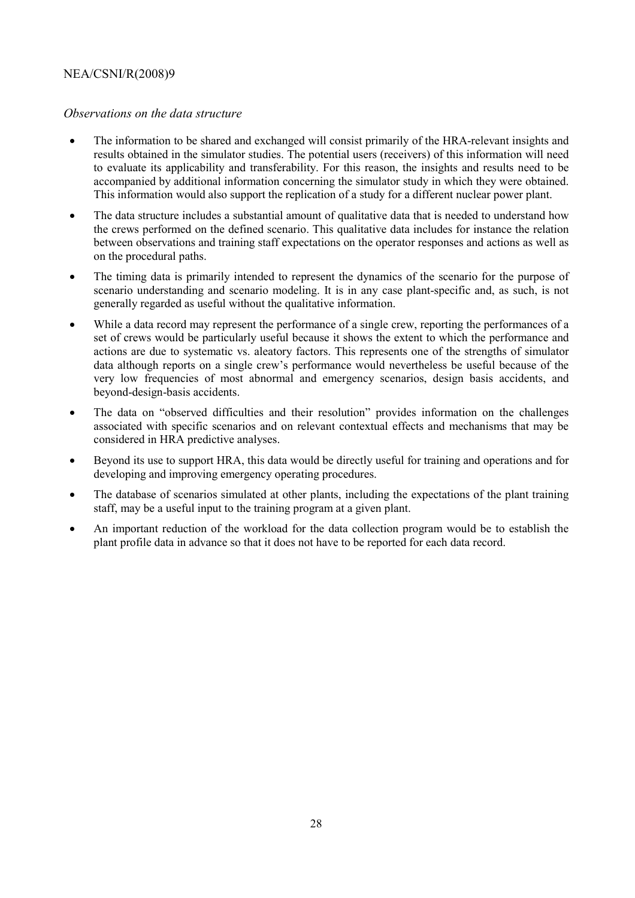## *Observations on the data structure*

- The information to be shared and exchanged will consist primarily of the HRA-relevant insights and results obtained in the simulator studies. The potential users (receivers) of this information will need to evaluate its applicability and transferability. For this reason, the insights and results need to be accompanied by additional information concerning the simulator study in which they were obtained. This information would also support the replication of a study for a different nuclear power plant.
- The data structure includes a substantial amount of qualitative data that is needed to understand how the crews performed on the defined scenario. This qualitative data includes for instance the relation between observations and training staff expectations on the operator responses and actions as well as on the procedural paths.
- The timing data is primarily intended to represent the dynamics of the scenario for the purpose of scenario understanding and scenario modeling. It is in any case plant-specific and, as such, is not generally regarded as useful without the qualitative information.
- While a data record may represent the performance of a single crew, reporting the performances of a set of crews would be particularly useful because it shows the extent to which the performance and actions are due to systematic vs. aleatory factors. This represents one of the strengths of simulator data although reports on a single crew's performance would nevertheless be useful because of the very low frequencies of most abnormal and emergency scenarios, design basis accidents, and beyond-design-basis accidents.
- The data on "observed difficulties and their resolution" provides information on the challenges associated with specific scenarios and on relevant contextual effects and mechanisms that may be considered in HRA predictive analyses.
- Beyond its use to support HRA, this data would be directly useful for training and operations and for developing and improving emergency operating procedures.
- The database of scenarios simulated at other plants, including the expectations of the plant training staff, may be a useful input to the training program at a given plant.
- An important reduction of the workload for the data collection program would be to establish the plant profile data in advance so that it does not have to be reported for each data record.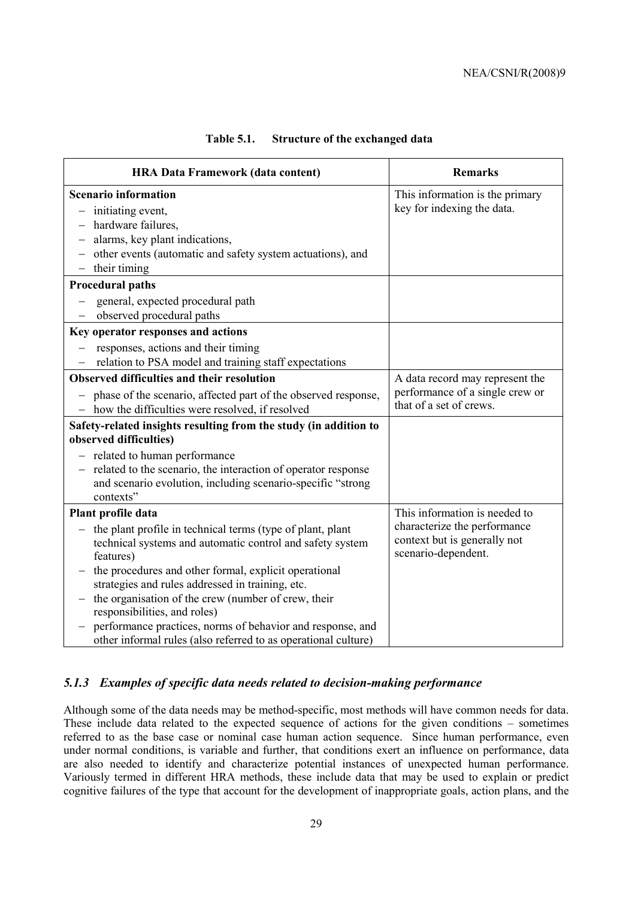| <b>HRA Data Framework (data content)</b>                                                                                                                                                                                                                                                            | <b>Remarks</b>                                                                                                       |
|-----------------------------------------------------------------------------------------------------------------------------------------------------------------------------------------------------------------------------------------------------------------------------------------------------|----------------------------------------------------------------------------------------------------------------------|
| <b>Scenario information</b><br>initiating event,<br>hardware failures,<br>alarms, key plant indications,<br>other events (automatic and safety system actuations), and                                                                                                                              | This information is the primary<br>key for indexing the data.                                                        |
| their timing<br><b>Procedural paths</b><br>general, expected procedural path                                                                                                                                                                                                                        |                                                                                                                      |
| observed procedural paths<br>Key operator responses and actions                                                                                                                                                                                                                                     |                                                                                                                      |
| responses, actions and their timing<br>relation to PSA model and training staff expectations                                                                                                                                                                                                        |                                                                                                                      |
| <b>Observed difficulties and their resolution</b><br>phase of the scenario, affected part of the observed response,<br>how the difficulties were resolved, if resolved                                                                                                                              | A data record may represent the<br>performance of a single crew or<br>that of a set of crews.                        |
| Safety-related insights resulting from the study (in addition to<br>observed difficulties)                                                                                                                                                                                                          |                                                                                                                      |
| - related to human performance<br>related to the scenario, the interaction of operator response<br>and scenario evolution, including scenario-specific "strong<br>contexts"                                                                                                                         |                                                                                                                      |
| Plant profile data<br>the plant profile in technical terms (type of plant, plant<br>technical systems and automatic control and safety system<br>features)<br>the procedures and other formal, explicit operational<br>$\overline{\phantom{0}}$<br>strategies and rules addressed in training, etc. | This information is needed to<br>characterize the performance<br>context but is generally not<br>scenario-dependent. |
| the organisation of the crew (number of crew, their<br>responsibilities, and roles)<br>performance practices, norms of behavior and response, and<br>other informal rules (also referred to as operational culture)                                                                                 |                                                                                                                      |

#### **Table 5.1. Structure of the exchanged data**

## *5.1.3 Examples of specific data needs related to decision-making performance*

Although some of the data needs may be method-specific, most methods will have common needs for data. These include data related to the expected sequence of actions for the given conditions – sometimes referred to as the base case or nominal case human action sequence. Since human performance, even under normal conditions, is variable and further, that conditions exert an influence on performance, data are also needed to identify and characterize potential instances of unexpected human performance. Variously termed in different HRA methods, these include data that may be used to explain or predict cognitive failures of the type that account for the development of inappropriate goals, action plans, and the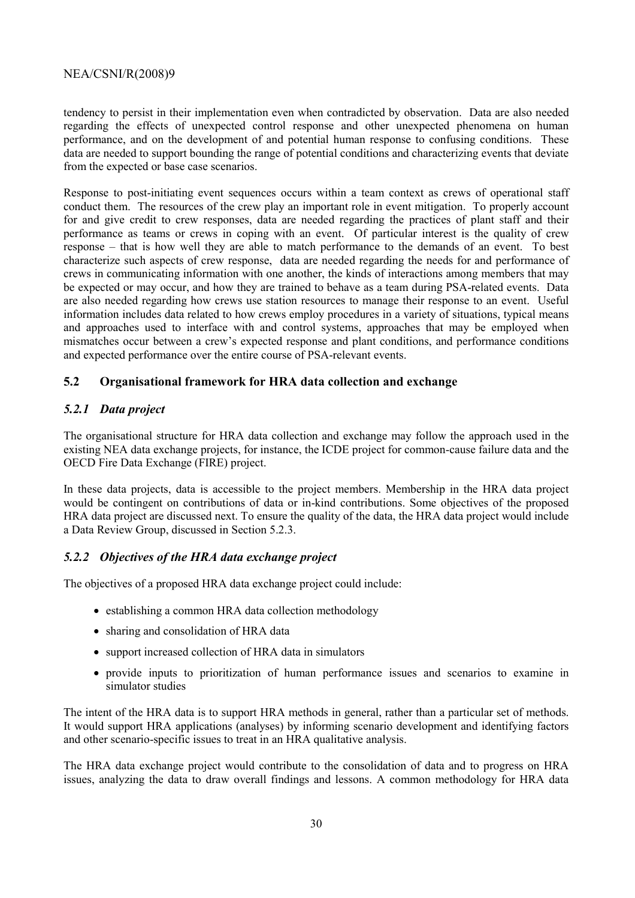tendency to persist in their implementation even when contradicted by observation. Data are also needed regarding the effects of unexpected control response and other unexpected phenomena on human performance, and on the development of and potential human response to confusing conditions. These data are needed to support bounding the range of potential conditions and characterizing events that deviate from the expected or base case scenarios.

Response to post-initiating event sequences occurs within a team context as crews of operational staff conduct them. The resources of the crew play an important role in event mitigation. To properly account for and give credit to crew responses, data are needed regarding the practices of plant staff and their performance as teams or crews in coping with an event. Of particular interest is the quality of crew response – that is how well they are able to match performance to the demands of an event. To best characterize such aspects of crew response, data are needed regarding the needs for and performance of crews in communicating information with one another, the kinds of interactions among members that may be expected or may occur, and how they are trained to behave as a team during PSA-related events. Data are also needed regarding how crews use station resources to manage their response to an event. Useful information includes data related to how crews employ procedures in a variety of situations, typical means and approaches used to interface with and control systems, approaches that may be employed when mismatches occur between a crew's expected response and plant conditions, and performance conditions and expected performance over the entire course of PSA-relevant events.

# **5.2 Organisational framework for HRA data collection and exchange**

## *5.2.1 Data project*

The organisational structure for HRA data collection and exchange may follow the approach used in the existing NEA data exchange projects, for instance, the ICDE project for common-cause failure data and the OECD Fire Data Exchange (FIRE) project.

In these data projects, data is accessible to the project members. Membership in the HRA data project would be contingent on contributions of data or in-kind contributions. Some objectives of the proposed HRA data project are discussed next. To ensure the quality of the data, the HRA data project would include a Data Review Group, discussed in Section 5.2.3.

# *5.2.2 Objectives of the HRA data exchange project*

The objectives of a proposed HRA data exchange project could include:

- establishing a common HRA data collection methodology
- sharing and consolidation of HRA data
- support increased collection of HRA data in simulators
- provide inputs to prioritization of human performance issues and scenarios to examine in simulator studies

The intent of the HRA data is to support HRA methods in general, rather than a particular set of methods. It would support HRA applications (analyses) by informing scenario development and identifying factors and other scenario-specific issues to treat in an HRA qualitative analysis.

The HRA data exchange project would contribute to the consolidation of data and to progress on HRA issues, analyzing the data to draw overall findings and lessons. A common methodology for HRA data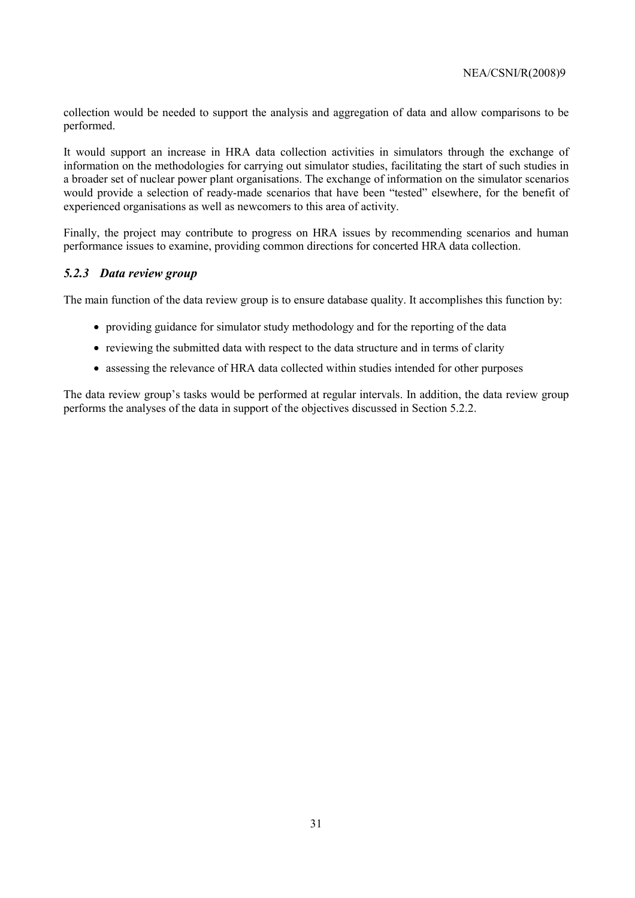collection would be needed to support the analysis and aggregation of data and allow comparisons to be performed.

It would support an increase in HRA data collection activities in simulators through the exchange of information on the methodologies for carrying out simulator studies, facilitating the start of such studies in a broader set of nuclear power plant organisations. The exchange of information on the simulator scenarios would provide a selection of ready-made scenarios that have been "tested" elsewhere, for the benefit of experienced organisations as well as newcomers to this area of activity.

Finally, the project may contribute to progress on HRA issues by recommending scenarios and human performance issues to examine, providing common directions for concerted HRA data collection.

#### *5.2.3 Data review group*

The main function of the data review group is to ensure database quality. It accomplishes this function by:

- providing guidance for simulator study methodology and for the reporting of the data
- reviewing the submitted data with respect to the data structure and in terms of clarity
- assessing the relevance of HRA data collected within studies intended for other purposes

The data review group's tasks would be performed at regular intervals. In addition, the data review group performs the analyses of the data in support of the objectives discussed in Section 5.2.2.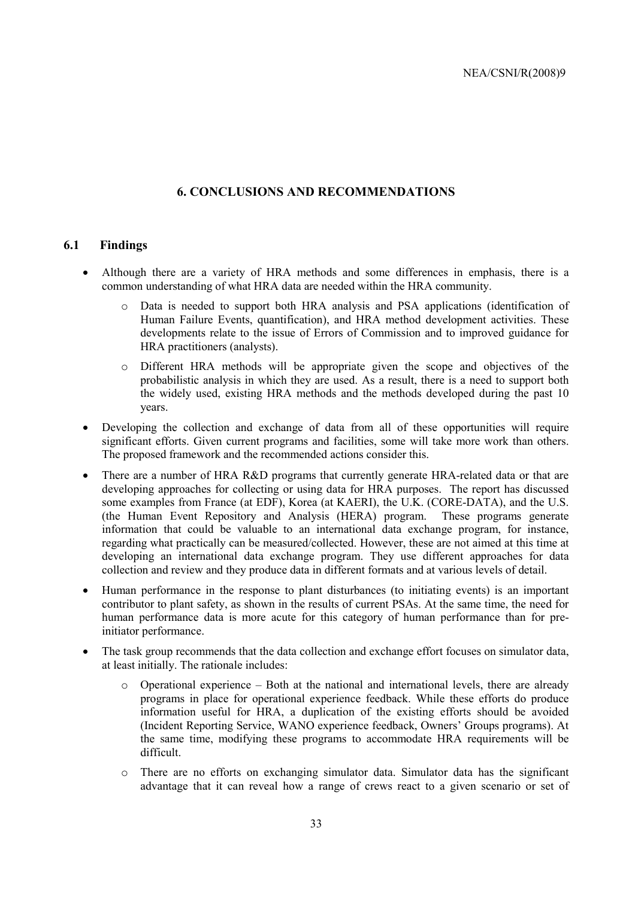# **6. CONCLUSIONS AND RECOMMENDATIONS**

#### **6.1 Findings**

- Although there are a variety of HRA methods and some differences in emphasis, there is a common understanding of what HRA data are needed within the HRA community.
	- Data is needed to support both HRA analysis and PSA applications (identification of Human Failure Events, quantification), and HRA method development activities. These developments relate to the issue of Errors of Commission and to improved guidance for HRA practitioners (analysts).
	- o Different HRA methods will be appropriate given the scope and objectives of the probabilistic analysis in which they are used. As a result, there is a need to support both the widely used, existing HRA methods and the methods developed during the past 10 years.
- Developing the collection and exchange of data from all of these opportunities will require significant efforts. Given current programs and facilities, some will take more work than others. The proposed framework and the recommended actions consider this.
- There are a number of HRA R&D programs that currently generate HRA-related data or that are developing approaches for collecting or using data for HRA purposes. The report has discussed some examples from France (at EDF), Korea (at KAERI), the U.K. (CORE-DATA), and the U.S. (the Human Event Repository and Analysis (HERA) program. These programs generate information that could be valuable to an international data exchange program, for instance, regarding what practically can be measured/collected. However, these are not aimed at this time at developing an international data exchange program. They use different approaches for data collection and review and they produce data in different formats and at various levels of detail.
- Human performance in the response to plant disturbances (to initiating events) is an important contributor to plant safety, as shown in the results of current PSAs. At the same time, the need for human performance data is more acute for this category of human performance than for preinitiator performance.
- The task group recommends that the data collection and exchange effort focuses on simulator data, at least initially. The rationale includes:
	- Operational experience Both at the national and international levels, there are already programs in place for operational experience feedback. While these efforts do produce information useful for HRA, a duplication of the existing efforts should be avoided (Incident Reporting Service, WANO experience feedback, Owners' Groups programs). At the same time, modifying these programs to accommodate HRA requirements will be difficult.
	- o There are no efforts on exchanging simulator data. Simulator data has the significant advantage that it can reveal how a range of crews react to a given scenario or set of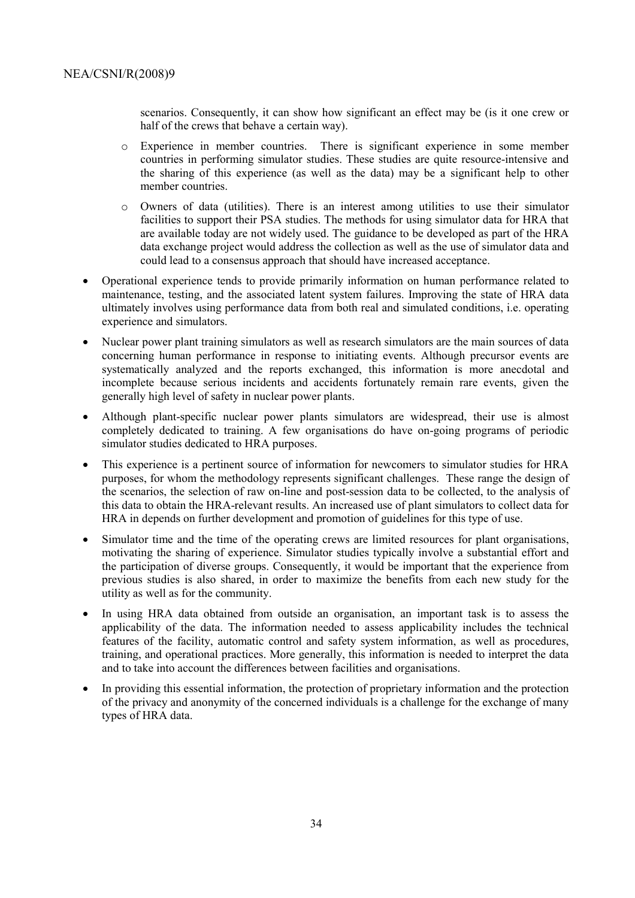scenarios. Consequently, it can show how significant an effect may be (is it one crew or half of the crews that behave a certain way).

- o Experience in member countries. There is significant experience in some member countries in performing simulator studies. These studies are quite resource-intensive and the sharing of this experience (as well as the data) may be a significant help to other member countries.
- o Owners of data (utilities). There is an interest among utilities to use their simulator facilities to support their PSA studies. The methods for using simulator data for HRA that are available today are not widely used. The guidance to be developed as part of the HRA data exchange project would address the collection as well as the use of simulator data and could lead to a consensus approach that should have increased acceptance.
- Operational experience tends to provide primarily information on human performance related to maintenance, testing, and the associated latent system failures. Improving the state of HRA data ultimately involves using performance data from both real and simulated conditions, i.e. operating experience and simulators.
- Nuclear power plant training simulators as well as research simulators are the main sources of data concerning human performance in response to initiating events. Although precursor events are systematically analyzed and the reports exchanged, this information is more anecdotal and incomplete because serious incidents and accidents fortunately remain rare events, given the generally high level of safety in nuclear power plants.
- Although plant-specific nuclear power plants simulators are widespread, their use is almost completely dedicated to training. A few organisations do have on-going programs of periodic simulator studies dedicated to HRA purposes.
- This experience is a pertinent source of information for newcomers to simulator studies for HRA purposes, for whom the methodology represents significant challenges. These range the design of the scenarios, the selection of raw on-line and post-session data to be collected, to the analysis of this data to obtain the HRA-relevant results. An increased use of plant simulators to collect data for HRA in depends on further development and promotion of guidelines for this type of use.
- Simulator time and the time of the operating crews are limited resources for plant organisations, motivating the sharing of experience. Simulator studies typically involve a substantial effort and the participation of diverse groups. Consequently, it would be important that the experience from previous studies is also shared, in order to maximize the benefits from each new study for the utility as well as for the community.
- In using HRA data obtained from outside an organisation, an important task is to assess the applicability of the data. The information needed to assess applicability includes the technical features of the facility, automatic control and safety system information, as well as procedures, training, and operational practices. More generally, this information is needed to interpret the data and to take into account the differences between facilities and organisations.
- In providing this essential information, the protection of proprietary information and the protection of the privacy and anonymity of the concerned individuals is a challenge for the exchange of many types of HRA data.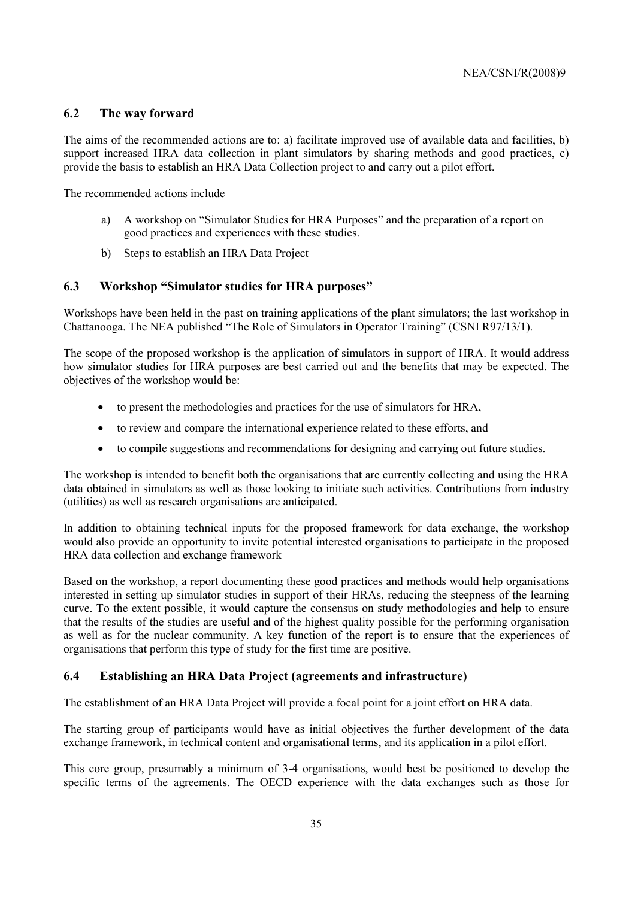# **6.2 The way forward**

The aims of the recommended actions are to: a) facilitate improved use of available data and facilities, b) support increased HRA data collection in plant simulators by sharing methods and good practices, c) provide the basis to establish an HRA Data Collection project to and carry out a pilot effort.

The recommended actions include

- a) A workshop on "Simulator Studies for HRA Purposes" and the preparation of a report on good practices and experiences with these studies.
- b) Steps to establish an HRA Data Project

# **6.3 Workshop "Simulator studies for HRA purposes"**

Workshops have been held in the past on training applications of the plant simulators; the last workshop in Chattanooga. The NEA published "The Role of Simulators in Operator Training" (CSNI R97/13/1).

The scope of the proposed workshop is the application of simulators in support of HRA. It would address how simulator studies for HRA purposes are best carried out and the benefits that may be expected. The objectives of the workshop would be:

- to present the methodologies and practices for the use of simulators for HRA,
- to review and compare the international experience related to these efforts, and
- to compile suggestions and recommendations for designing and carrying out future studies.

The workshop is intended to benefit both the organisations that are currently collecting and using the HRA data obtained in simulators as well as those looking to initiate such activities. Contributions from industry (utilities) as well as research organisations are anticipated.

In addition to obtaining technical inputs for the proposed framework for data exchange, the workshop would also provide an opportunity to invite potential interested organisations to participate in the proposed HRA data collection and exchange framework

Based on the workshop, a report documenting these good practices and methods would help organisations interested in setting up simulator studies in support of their HRAs, reducing the steepness of the learning curve. To the extent possible, it would capture the consensus on study methodologies and help to ensure that the results of the studies are useful and of the highest quality possible for the performing organisation as well as for the nuclear community. A key function of the report is to ensure that the experiences of organisations that perform this type of study for the first time are positive.

# **6.4 Establishing an HRA Data Project (agreements and infrastructure)**

The establishment of an HRA Data Project will provide a focal point for a joint effort on HRA data.

The starting group of participants would have as initial objectives the further development of the data exchange framework, in technical content and organisational terms, and its application in a pilot effort.

This core group, presumably a minimum of 3-4 organisations, would best be positioned to develop the specific terms of the agreements. The OECD experience with the data exchanges such as those for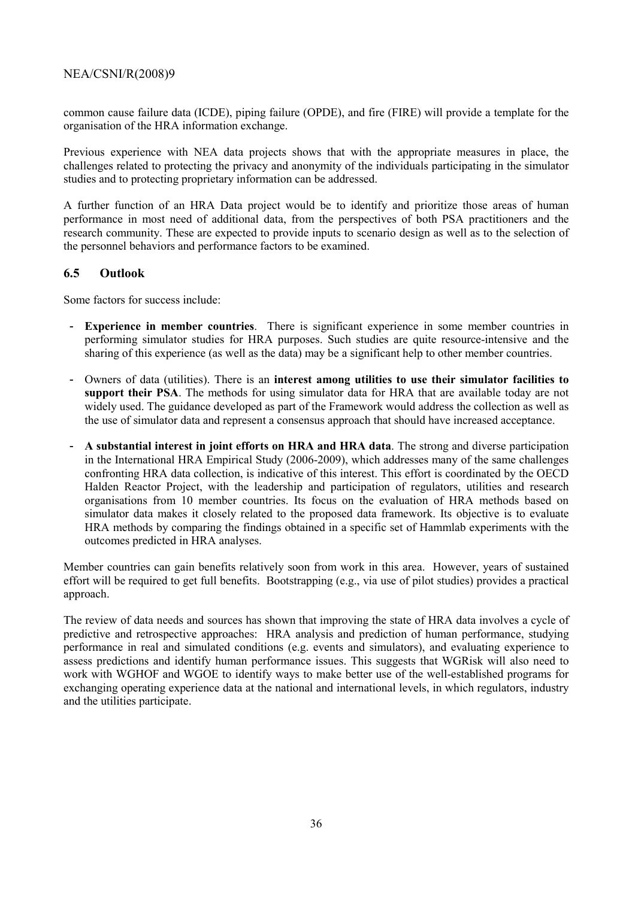common cause failure data (ICDE), piping failure (OPDE), and fire (FIRE) will provide a template for the organisation of the HRA information exchange.

Previous experience with NEA data projects shows that with the appropriate measures in place, the challenges related to protecting the privacy and anonymity of the individuals participating in the simulator studies and to protecting proprietary information can be addressed.

A further function of an HRA Data project would be to identify and prioritize those areas of human performance in most need of additional data, from the perspectives of both PSA practitioners and the research community. These are expected to provide inputs to scenario design as well as to the selection of the personnel behaviors and performance factors to be examined.

## **6.5 Outlook**

Some factors for success include:

- **Experience in member countries**. There is significant experience in some member countries in performing simulator studies for HRA purposes. Such studies are quite resource-intensive and the sharing of this experience (as well as the data) may be a significant help to other member countries.
- Owners of data (utilities). There is an **interest among utilities to use their simulator facilities to support their PSA**. The methods for using simulator data for HRA that are available today are not widely used. The guidance developed as part of the Framework would address the collection as well as the use of simulator data and represent a consensus approach that should have increased acceptance.
- **A substantial interest in joint efforts on HRA and HRA data**. The strong and diverse participation in the International HRA Empirical Study (2006-2009), which addresses many of the same challenges confronting HRA data collection, is indicative of this interest. This effort is coordinated by the OECD Halden Reactor Project, with the leadership and participation of regulators, utilities and research organisations from 10 member countries. Its focus on the evaluation of HRA methods based on simulator data makes it closely related to the proposed data framework. Its objective is to evaluate HRA methods by comparing the findings obtained in a specific set of Hammlab experiments with the outcomes predicted in HRA analyses.

Member countries can gain benefits relatively soon from work in this area. However, years of sustained effort will be required to get full benefits. Bootstrapping (e.g., via use of pilot studies) provides a practical approach.

The review of data needs and sources has shown that improving the state of HRA data involves a cycle of predictive and retrospective approaches: HRA analysis and prediction of human performance, studying performance in real and simulated conditions (e.g. events and simulators), and evaluating experience to assess predictions and identify human performance issues. This suggests that WGRisk will also need to work with WGHOF and WGOE to identify ways to make better use of the well-established programs for exchanging operating experience data at the national and international levels, in which regulators, industry and the utilities participate.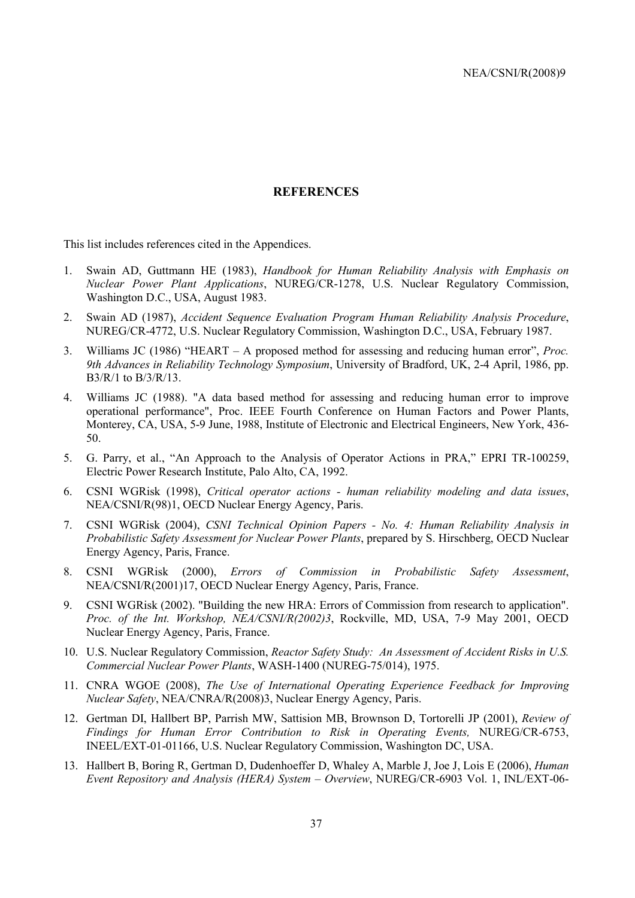#### **REFERENCES**

This list includes references cited in the Appendices.

- 1. Swain AD, Guttmann HE (1983), *Handbook for Human Reliability Analysis with Emphasis on Nuclear Power Plant Applications*, NUREG/CR-1278, U.S. Nuclear Regulatory Commission, Washington D.C., USA, August 1983.
- 2. Swain AD (1987), *Accident Sequence Evaluation Program Human Reliability Analysis Procedure*, NUREG/CR-4772, U.S. Nuclear Regulatory Commission, Washington D.C., USA, February 1987.
- 3. Williams JC (1986) "HEART A proposed method for assessing and reducing human error", *Proc. 9th Advances in Reliability Technology Symposium*, University of Bradford, UK, 2-4 April, 1986, pp. B3/R/1 to B/3/R/13.
- 4. Williams JC (1988). "A data based method for assessing and reducing human error to improve operational performance", Proc. IEEE Fourth Conference on Human Factors and Power Plants, Monterey, CA, USA, 5-9 June, 1988, Institute of Electronic and Electrical Engineers, New York, 436- 50.
- 5. G. Parry, et al., "An Approach to the Analysis of Operator Actions in PRA," EPRI TR-100259, Electric Power Research Institute, Palo Alto, CA, 1992.
- 6. CSNI WGRisk (1998), *Critical operator actions human reliability modeling and data issues*, NEA/CSNI/R(98)1, OECD Nuclear Energy Agency, Paris.
- 7. CSNI WGRisk (2004), *CSNI Technical Opinion Papers No. 4: Human Reliability Analysis in Probabilistic Safety Assessment for Nuclear Power Plants*, prepared by S. Hirschberg, OECD Nuclear Energy Agency, Paris, France.
- 8. CSNI WGRisk (2000), *Errors of Commission in Probabilistic Safety Assessment*, NEA/CSNI/R(2001)17, OECD Nuclear Energy Agency, Paris, France.
- 9. CSNI WGRisk (2002). "Building the new HRA: Errors of Commission from research to application". *Proc. of the Int. Workshop, NEA/CSNI/R(2002)3*, Rockville, MD, USA, 7-9 May 2001, OECD Nuclear Energy Agency, Paris, France.
- 10. U.S. Nuclear Regulatory Commission, *Reactor Safety Study: An Assessment of Accident Risks in U.S. Commercial Nuclear Power Plants*, WASH-1400 (NUREG-75/014), 1975.
- 11. CNRA WGOE (2008), *The Use of International Operating Experience Feedback for Improving Nuclear Safety*, NEA/CNRA/R(2008)3, Nuclear Energy Agency, Paris.
- 12. Gertman DI, Hallbert BP, Parrish MW, Sattision MB, Brownson D, Tortorelli JP (2001), *Review of Findings for Human Error Contribution to Risk in Operating Events,* NUREG/CR-6753, INEEL/EXT-01-01166, U.S. Nuclear Regulatory Commission, Washington DC, USA.
- 13. Hallbert B, Boring R, Gertman D, Dudenhoeffer D, Whaley A, Marble J, Joe J, Lois E (2006), *Human Event Repository and Analysis (HERA) System – Overview*, NUREG/CR-6903 Vol. 1, INL/EXT-06-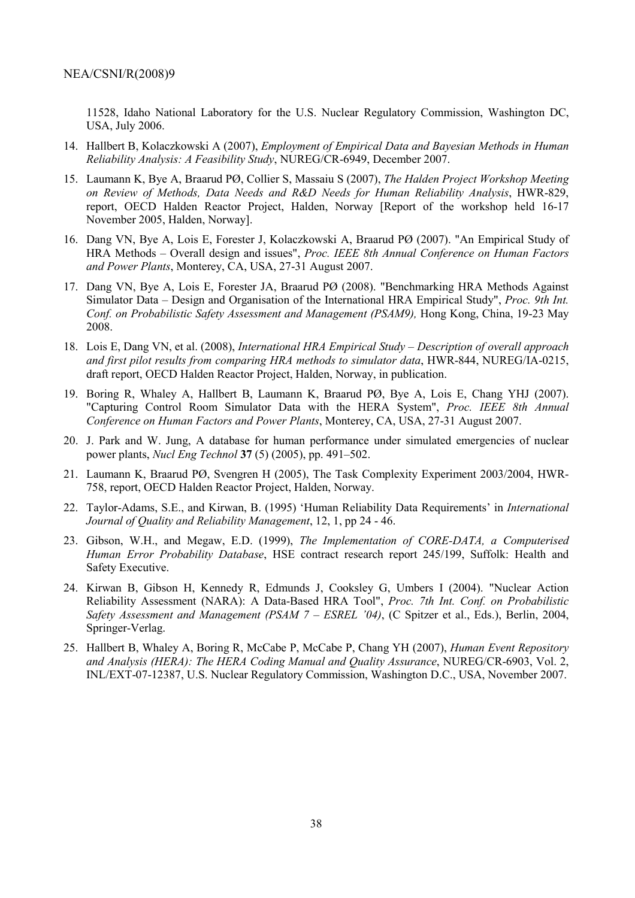11528, Idaho National Laboratory for the U.S. Nuclear Regulatory Commission, Washington DC, USA, July 2006.

- 14. Hallbert B, Kolaczkowski A (2007), *Employment of Empirical Data and Bayesian Methods in Human Reliability Analysis: A Feasibility Study*, NUREG/CR-6949, December 2007.
- 15. Laumann K, Bye A, Braarud PØ, Collier S, Massaiu S (2007), *The Halden Project Workshop Meeting on Review of Methods, Data Needs and R&D Needs for Human Reliability Analysis*, HWR-829, report, OECD Halden Reactor Project, Halden, Norway [Report of the workshop held 16-17 November 2005, Halden, Norway].
- 16. Dang VN, Bye A, Lois E, Forester J, Kolaczkowski A, Braarud PØ (2007). "An Empirical Study of HRA Methods – Overall design and issues", *Proc. IEEE 8th Annual Conference on Human Factors and Power Plants*, Monterey, CA, USA, 27-31 August 2007.
- 17. Dang VN, Bye A, Lois E, Forester JA, Braarud PØ (2008). "Benchmarking HRA Methods Against Simulator Data – Design and Organisation of the International HRA Empirical Study", *Proc. 9th Int. Conf. on Probabilistic Safety Assessment and Management (PSAM9),* Hong Kong, China, 19-23 May 2008.
- 18. Lois E, Dang VN, et al. (2008), *International HRA Empirical Study Description of overall approach and first pilot results from comparing HRA methods to simulator data*, HWR-844, NUREG/IA-0215, draft report, OECD Halden Reactor Project, Halden, Norway, in publication.
- 19. Boring R, Whaley A, Hallbert B, Laumann K, Braarud PØ, Bye A, Lois E, Chang YHJ (2007). "Capturing Control Room Simulator Data with the HERA System", *Proc. IEEE 8th Annual Conference on Human Factors and Power Plants*, Monterey, CA, USA, 27-31 August 2007.
- 20. J. Park and W. Jung, A database for human performance under simulated emergencies of nuclear power plants, *Nucl Eng Technol* **37** (5) (2005), pp. 491–502.
- 21. Laumann K, Braarud PØ, Svengren H (2005), The Task Complexity Experiment 2003/2004, HWR-758, report, OECD Halden Reactor Project, Halden, Norway.
- 22. Taylor-Adams, S.E., and Kirwan, B. (1995) 'Human Reliability Data Requirements' in *International Journal of Quality and Reliability Management*, 12, 1, pp 24 - 46.
- 23. Gibson, W.H., and Megaw, E.D. (1999), *The Implementation of CORE-DATA, a Computerised Human Error Probability Database*, HSE contract research report 245/199, Suffolk: Health and Safety Executive.
- 24. Kirwan B, Gibson H, Kennedy R, Edmunds J, Cooksley G, Umbers I (2004). "Nuclear Action Reliability Assessment (NARA): A Data-Based HRA Tool", *Proc. 7th Int. Conf. on Probabilistic Safety Assessment and Management (PSAM 7 – ESREL '04)*, (C Spitzer et al., Eds.), Berlin, 2004, Springer-Verlag.
- 25. Hallbert B, Whaley A, Boring R, McCabe P, McCabe P, Chang YH (2007), *Human Event Repository and Analysis (HERA): The HERA Coding Manual and Quality Assurance*, NUREG/CR-6903, Vol. 2, INL/EXT-07-12387, U.S. Nuclear Regulatory Commission, Washington D.C., USA, November 2007.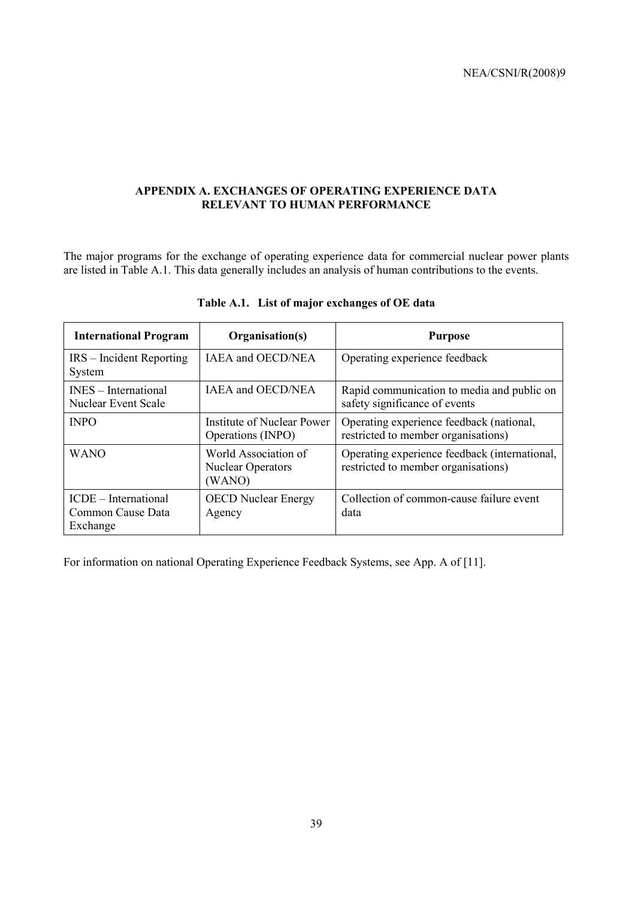#### **APPENDIX A. EXCHANGES OF OPERATING EXPERIENCE DATA RELEVANT TO HUMAN PERFORMANCE**

The major programs for the exchange of operating experience data for commercial nuclear power plants are listed in Table A.1. This data generally includes an analysis of human contributions to the events.

| <b>International Program</b>                          | Organisation(s)                                            | <b>Purpose</b>                                                                       |
|-------------------------------------------------------|------------------------------------------------------------|--------------------------------------------------------------------------------------|
| IRS – Incident Reporting<br>System                    | IAEA and OECD/NEA                                          | Operating experience feedback                                                        |
| $INES - International$<br>Nuclear Event Scale         | IAEA and OECD/NEA                                          | Rapid communication to media and public on<br>safety significance of events          |
| <b>INPO</b>                                           | Institute of Nuclear Power<br>Operations (INPO)            | Operating experience feedback (national,<br>restricted to member organisations)      |
| <b>WANO</b>                                           | World Association of<br><b>Nuclear Operators</b><br>(WANO) | Operating experience feedback (international,<br>restricted to member organisations) |
| ICDE – International<br>Common Cause Data<br>Exchange | <b>OECD</b> Nuclear Energy<br>Agency                       | Collection of common-cause failure event<br>data                                     |

## **Table A.1. List of major exchanges of OE data**

For information on national Operating Experience Feedback Systems, see App. A of [11].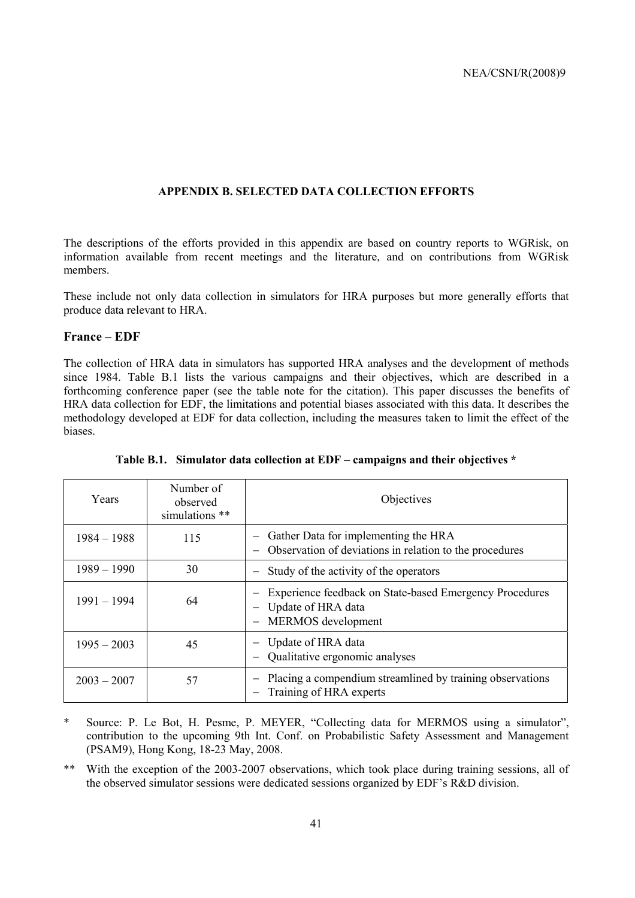#### **APPENDIX B. SELECTED DATA COLLECTION EFFORTS**

The descriptions of the efforts provided in this appendix are based on country reports to WGRisk, on information available from recent meetings and the literature, and on contributions from WGRisk members.

These include not only data collection in simulators for HRA purposes but more generally efforts that produce data relevant to HRA.

#### **France – EDF**

The collection of HRA data in simulators has supported HRA analyses and the development of methods since 1984. Table B.1 lists the various campaigns and their objectives, which are described in a forthcoming conference paper (see the table note for the citation). This paper discusses the benefits of HRA data collection for EDF, the limitations and potential biases associated with this data. It describes the methodology developed at EDF for data collection, including the measures taken to limit the effect of the biases.

| Years         | Number of<br>observed<br>simulations ** | Objectives                                                                                                 |
|---------------|-----------------------------------------|------------------------------------------------------------------------------------------------------------|
| $1984 - 1988$ | 115                                     | Gather Data for implementing the HRA<br>Observation of deviations in relation to the procedures            |
| $1989 - 1990$ | 30                                      | Study of the activity of the operators                                                                     |
| $1991 - 1994$ | 64                                      | Experience feedback on State-based Emergency Procedures<br>Update of HRA data<br><b>MERMOS</b> development |
| $1995 - 2003$ | 45                                      | Update of HRA data<br>Qualitative ergonomic analyses                                                       |
| $2003 - 2007$ | 57                                      | Placing a compendium streamlined by training observations<br>Training of HRA experts                       |

| Table B.1. Simulator data collection at $EDF$ – campaigns and their objectives $*$ |  |  |
|------------------------------------------------------------------------------------|--|--|
|------------------------------------------------------------------------------------|--|--|

\* Source: P. Le Bot, H. Pesme, P. MEYER, "Collecting data for MERMOS using a simulator", contribution to the upcoming 9th Int. Conf. on Probabilistic Safety Assessment and Management (PSAM9), Hong Kong, 18-23 May, 2008.

\*\* With the exception of the 2003-2007 observations, which took place during training sessions, all of the observed simulator sessions were dedicated sessions organized by EDF's R&D division.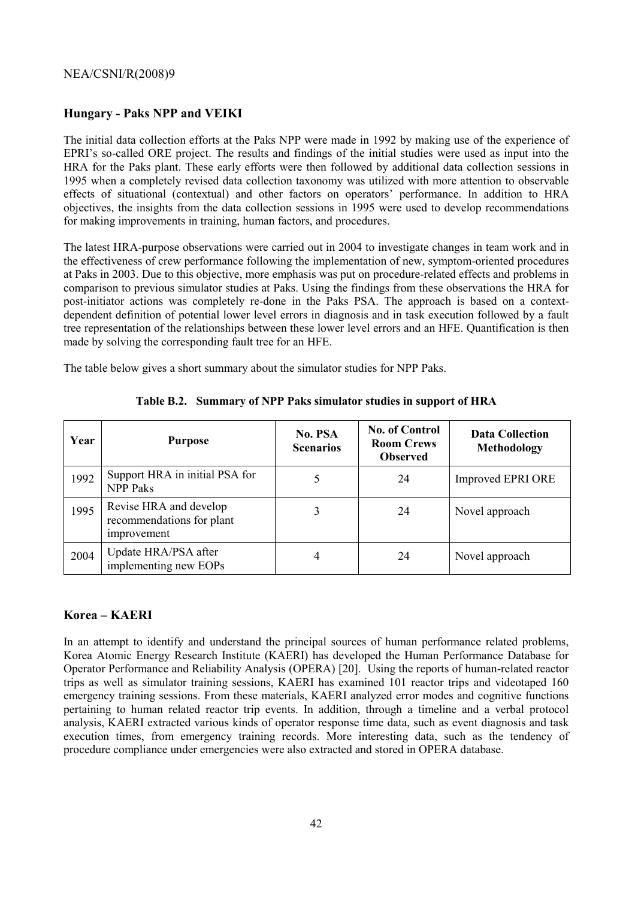# **Hungary - Paks NPP and VEIKI**

The initial data collection efforts at the Paks NPP were made in 1992 by making use of the experience of EPRI's so-called ORE project. The results and findings of the initial studies were used as input into the HRA for the Paks plant. These early efforts were then followed by additional data collection sessions in 1995 when a completely revised data collection taxonomy was utilized with more attention to observable effects of situational (contextual) and other factors on operators' performance. In addition to HRA objectives, the insights from the data collection sessions in 1995 were used to develop recommendations for making improvements in training, human factors, and procedures.

The latest HRA-purpose observations were carried out in 2004 to investigate changes in team work and in the effectiveness of crew performance following the implementation of new, symptom-oriented procedures at Paks in 2003. Due to this objective, more emphasis was put on procedure-related effects and problems in comparison to previous simulator studies at Paks. Using the findings from these observations the HRA for post-initiator actions was completely re-done in the Paks PSA. The approach is based on a contextdependent definition of potential lower level errors in diagnosis and in task execution followed by a fault tree representation of the relationships between these lower level errors and an HFE. Quantification is then made by solving the corresponding fault tree for an HFE.

The table below gives a short summary about the simulator studies for NPP Paks.

| Year | <b>Purpose</b>                                                     | No. PSA<br><b>Scenarios</b> | <b>No. of Control</b><br><b>Room Crews</b><br><b>Observed</b> | <b>Data Collection</b><br><b>Methodology</b> |
|------|--------------------------------------------------------------------|-----------------------------|---------------------------------------------------------------|----------------------------------------------|
| 1992 | Support HRA in initial PSA for<br><b>NPP Paks</b>                  |                             | 24                                                            | <b>Improved EPRI ORE</b>                     |
| 1995 | Revise HRA and develop<br>recommendations for plant<br>improvement |                             | 24                                                            | Novel approach                               |
| 2004 | Update HRA/PSA after<br>implementing new EOPs                      |                             | 24                                                            | Novel approach                               |

**Table B.2. Summary of NPP Paks simulator studies in support of HRA** 

#### **Korea – KAERI**

In an attempt to identify and understand the principal sources of human performance related problems, Korea Atomic Energy Research Institute (KAERI) has developed the Human Performance Database for Operator Performance and Reliability Analysis (OPERA) [20]. Using the reports of human-related reactor trips as well as simulator training sessions, KAERI has examined 101 reactor trips and videotaped 160 emergency training sessions. From these materials, KAERI analyzed error modes and cognitive functions pertaining to human related reactor trip events. In addition, through a timeline and a verbal protocol analysis, KAERI extracted various kinds of operator response time data, such as event diagnosis and task execution times, from emergency training records. More interesting data, such as the tendency of procedure compliance under emergencies were also extracted and stored in OPERA database.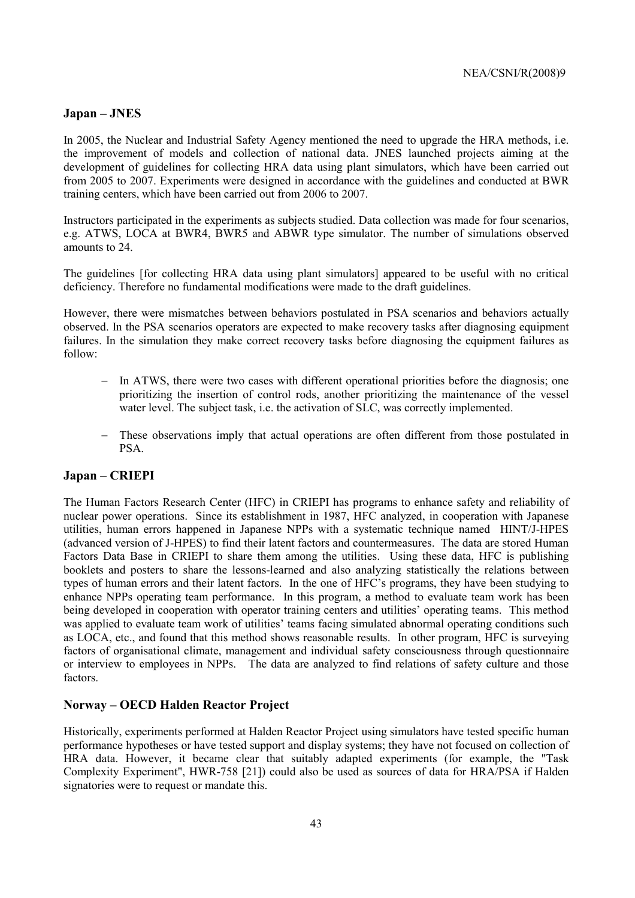## **Japan – JNES**

In 2005, the Nuclear and Industrial Safety Agency mentioned the need to upgrade the HRA methods, i.e. the improvement of models and collection of national data. JNES launched projects aiming at the development of guidelines for collecting HRA data using plant simulators, which have been carried out from 2005 to 2007. Experiments were designed in accordance with the guidelines and conducted at BWR training centers, which have been carried out from 2006 to 2007.

Instructors participated in the experiments as subjects studied. Data collection was made for four scenarios, e.g. ATWS, LOCA at BWR4, BWR5 and ABWR type simulator. The number of simulations observed amounts to 24.

The guidelines [for collecting HRA data using plant simulators] appeared to be useful with no critical deficiency. Therefore no fundamental modifications were made to the draft guidelines.

However, there were mismatches between behaviors postulated in PSA scenarios and behaviors actually observed. In the PSA scenarios operators are expected to make recovery tasks after diagnosing equipment failures. In the simulation they make correct recovery tasks before diagnosing the equipment failures as follow:

- In ATWS, there were two cases with different operational priorities before the diagnosis; one prioritizing the insertion of control rods, another prioritizing the maintenance of the vessel water level. The subject task, i.e. the activation of SLC, was correctly implemented.
- − These observations imply that actual operations are often different from those postulated in PSA.

#### **Japan – CRIEPI**

The Human Factors Research Center (HFC) in CRIEPI has programs to enhance safety and reliability of nuclear power operations. Since its establishment in 1987, HFC analyzed, in cooperation with Japanese utilities, human errors happened in Japanese NPPs with a systematic technique named HINT/J-HPES (advanced version of J-HPES) to find their latent factors and countermeasures. The data are stored Human Factors Data Base in CRIEPI to share them among the utilities. Using these data, HFC is publishing booklets and posters to share the lessons-learned and also analyzing statistically the relations between types of human errors and their latent factors. In the one of HFC's programs, they have been studying to enhance NPPs operating team performance. In this program, a method to evaluate team work has been being developed in cooperation with operator training centers and utilities' operating teams. This method was applied to evaluate team work of utilities' teams facing simulated abnormal operating conditions such as LOCA, etc., and found that this method shows reasonable results. In other program, HFC is surveying factors of organisational climate, management and individual safety consciousness through questionnaire or interview to employees in NPPs. The data are analyzed to find relations of safety culture and those factors.

#### **Norway – OECD Halden Reactor Project**

Historically, experiments performed at Halden Reactor Project using simulators have tested specific human performance hypotheses or have tested support and display systems; they have not focused on collection of HRA data. However, it became clear that suitably adapted experiments (for example, the "Task Complexity Experiment", HWR-758 [21]) could also be used as sources of data for HRA/PSA if Halden signatories were to request or mandate this.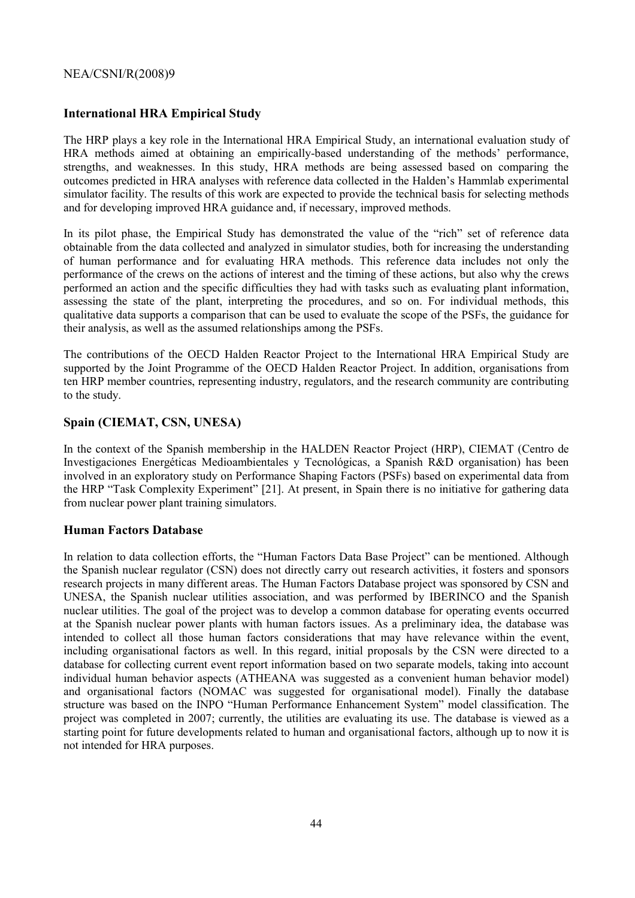# **International HRA Empirical Study**

The HRP plays a key role in the International HRA Empirical Study, an international evaluation study of HRA methods aimed at obtaining an empirically-based understanding of the methods' performance, strengths, and weaknesses. In this study, HRA methods are being assessed based on comparing the outcomes predicted in HRA analyses with reference data collected in the Halden's Hammlab experimental simulator facility. The results of this work are expected to provide the technical basis for selecting methods and for developing improved HRA guidance and, if necessary, improved methods.

In its pilot phase, the Empirical Study has demonstrated the value of the "rich" set of reference data obtainable from the data collected and analyzed in simulator studies, both for increasing the understanding of human performance and for evaluating HRA methods. This reference data includes not only the performance of the crews on the actions of interest and the timing of these actions, but also why the crews performed an action and the specific difficulties they had with tasks such as evaluating plant information, assessing the state of the plant, interpreting the procedures, and so on. For individual methods, this qualitative data supports a comparison that can be used to evaluate the scope of the PSFs, the guidance for their analysis, as well as the assumed relationships among the PSFs.

The contributions of the OECD Halden Reactor Project to the International HRA Empirical Study are supported by the Joint Programme of the OECD Halden Reactor Project. In addition, organisations from ten HRP member countries, representing industry, regulators, and the research community are contributing to the study.

# **Spain (CIEMAT, CSN, UNESA)**

In the context of the Spanish membership in the HALDEN Reactor Project (HRP), CIEMAT (Centro de Investigaciones Energéticas Medioambientales y Tecnológicas, a Spanish R&D organisation) has been involved in an exploratory study on Performance Shaping Factors (PSFs) based on experimental data from the HRP "Task Complexity Experiment" [21]. At present, in Spain there is no initiative for gathering data from nuclear power plant training simulators.

# **Human Factors Database**

In relation to data collection efforts, the "Human Factors Data Base Project" can be mentioned. Although the Spanish nuclear regulator (CSN) does not directly carry out research activities, it fosters and sponsors research projects in many different areas. The Human Factors Database project was sponsored by CSN and UNESA, the Spanish nuclear utilities association, and was performed by IBERINCO and the Spanish nuclear utilities. The goal of the project was to develop a common database for operating events occurred at the Spanish nuclear power plants with human factors issues. As a preliminary idea, the database was intended to collect all those human factors considerations that may have relevance within the event, including organisational factors as well. In this regard, initial proposals by the CSN were directed to a database for collecting current event report information based on two separate models, taking into account individual human behavior aspects (ATHEANA was suggested as a convenient human behavior model) and organisational factors (NOMAC was suggested for organisational model). Finally the database structure was based on the INPO "Human Performance Enhancement System" model classification. The project was completed in 2007; currently, the utilities are evaluating its use. The database is viewed as a starting point for future developments related to human and organisational factors, although up to now it is not intended for HRA purposes.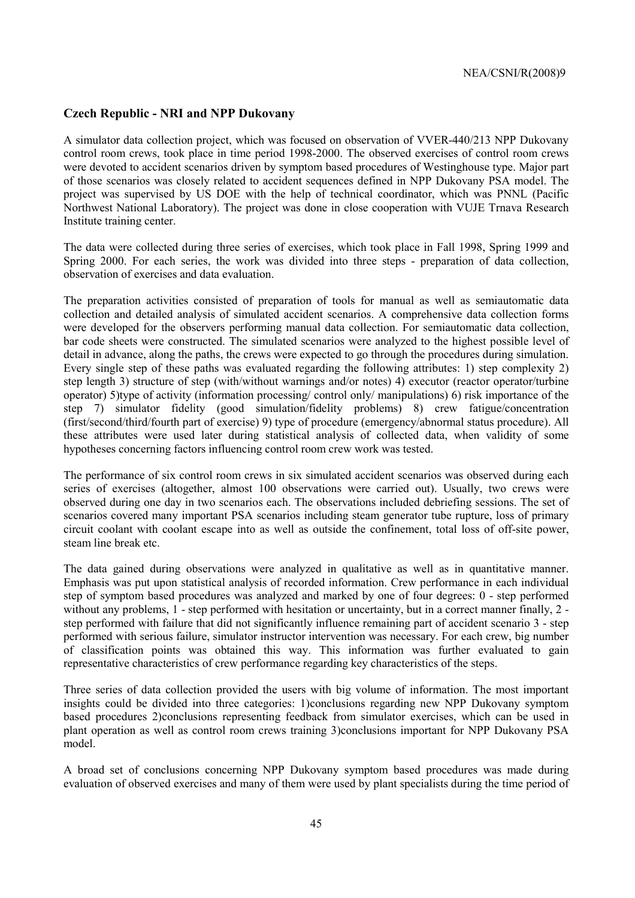## **Czech Republic - NRI and NPP Dukovany**

A simulator data collection project, which was focused on observation of VVER-440/213 NPP Dukovany control room crews, took place in time period 1998-2000. The observed exercises of control room crews were devoted to accident scenarios driven by symptom based procedures of Westinghouse type. Major part of those scenarios was closely related to accident sequences defined in NPP Dukovany PSA model. The project was supervised by US DOE with the help of technical coordinator, which was PNNL (Pacific Northwest National Laboratory). The project was done in close cooperation with VUJE Trnava Research Institute training center.

The data were collected during three series of exercises, which took place in Fall 1998, Spring 1999 and Spring 2000. For each series, the work was divided into three steps - preparation of data collection, observation of exercises and data evaluation.

The preparation activities consisted of preparation of tools for manual as well as semiautomatic data collection and detailed analysis of simulated accident scenarios. A comprehensive data collection forms were developed for the observers performing manual data collection. For semiautomatic data collection, bar code sheets were constructed. The simulated scenarios were analyzed to the highest possible level of detail in advance, along the paths, the crews were expected to go through the procedures during simulation. Every single step of these paths was evaluated regarding the following attributes: 1) step complexity 2) step length 3) structure of step (with/without warnings and/or notes) 4) executor (reactor operator/turbine operator) 5)type of activity (information processing/ control only/ manipulations) 6) risk importance of the step 7) simulator fidelity (good simulation/fidelity problems) 8) crew fatigue/concentration (first/second/third/fourth part of exercise) 9) type of procedure (emergency/abnormal status procedure). All these attributes were used later during statistical analysis of collected data, when validity of some hypotheses concerning factors influencing control room crew work was tested.

The performance of six control room crews in six simulated accident scenarios was observed during each series of exercises (altogether, almost 100 observations were carried out). Usually, two crews were observed during one day in two scenarios each. The observations included debriefing sessions. The set of scenarios covered many important PSA scenarios including steam generator tube rupture, loss of primary circuit coolant with coolant escape into as well as outside the confinement, total loss of off-site power, steam line break etc.

The data gained during observations were analyzed in qualitative as well as in quantitative manner. Emphasis was put upon statistical analysis of recorded information. Crew performance in each individual step of symptom based procedures was analyzed and marked by one of four degrees: 0 - step performed without any problems, 1 - step performed with hesitation or uncertainty, but in a correct manner finally, 2 step performed with failure that did not significantly influence remaining part of accident scenario 3 - step performed with serious failure, simulator instructor intervention was necessary. For each crew, big number of classification points was obtained this way. This information was further evaluated to gain representative characteristics of crew performance regarding key characteristics of the steps.

Three series of data collection provided the users with big volume of information. The most important insights could be divided into three categories: 1)conclusions regarding new NPP Dukovany symptom based procedures 2)conclusions representing feedback from simulator exercises, which can be used in plant operation as well as control room crews training 3)conclusions important for NPP Dukovany PSA model.

A broad set of conclusions concerning NPP Dukovany symptom based procedures was made during evaluation of observed exercises and many of them were used by plant specialists during the time period of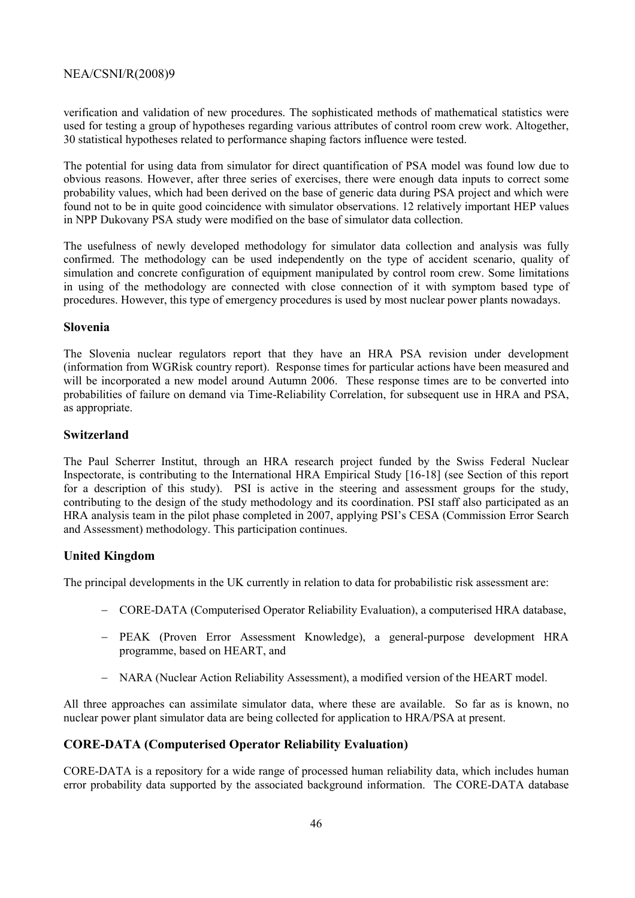verification and validation of new procedures. The sophisticated methods of mathematical statistics were used for testing a group of hypotheses regarding various attributes of control room crew work. Altogether, 30 statistical hypotheses related to performance shaping factors influence were tested.

The potential for using data from simulator for direct quantification of PSA model was found low due to obvious reasons. However, after three series of exercises, there were enough data inputs to correct some probability values, which had been derived on the base of generic data during PSA project and which were found not to be in quite good coincidence with simulator observations. 12 relatively important HEP values in NPP Dukovany PSA study were modified on the base of simulator data collection.

The usefulness of newly developed methodology for simulator data collection and analysis was fully confirmed. The methodology can be used independently on the type of accident scenario, quality of simulation and concrete configuration of equipment manipulated by control room crew. Some limitations in using of the methodology are connected with close connection of it with symptom based type of procedures. However, this type of emergency procedures is used by most nuclear power plants nowadays.

## **Slovenia**

The Slovenia nuclear regulators report that they have an HRA PSA revision under development (information from WGRisk country report). Response times for particular actions have been measured and will be incorporated a new model around Autumn 2006. These response times are to be converted into probabilities of failure on demand via Time-Reliability Correlation, for subsequent use in HRA and PSA, as appropriate.

## **Switzerland**

The Paul Scherrer Institut, through an HRA research project funded by the Swiss Federal Nuclear Inspectorate, is contributing to the International HRA Empirical Study [16-18] (see Section of this report for a description of this study). PSI is active in the steering and assessment groups for the study, contributing to the design of the study methodology and its coordination. PSI staff also participated as an HRA analysis team in the pilot phase completed in 2007, applying PSI's CESA (Commission Error Search and Assessment) methodology. This participation continues.

# **United Kingdom**

The principal developments in the UK currently in relation to data for probabilistic risk assessment are:

- − CORE-DATA (Computerised Operator Reliability Evaluation), a computerised HRA database,
- − PEAK (Proven Error Assessment Knowledge), a general-purpose development HRA programme, based on HEART, and
- − NARA (Nuclear Action Reliability Assessment), a modified version of the HEART model.

All three approaches can assimilate simulator data, where these are available. So far as is known, no nuclear power plant simulator data are being collected for application to HRA/PSA at present.

# **CORE-DATA (Computerised Operator Reliability Evaluation)**

CORE-DATA is a repository for a wide range of processed human reliability data, which includes human error probability data supported by the associated background information. The CORE-DATA database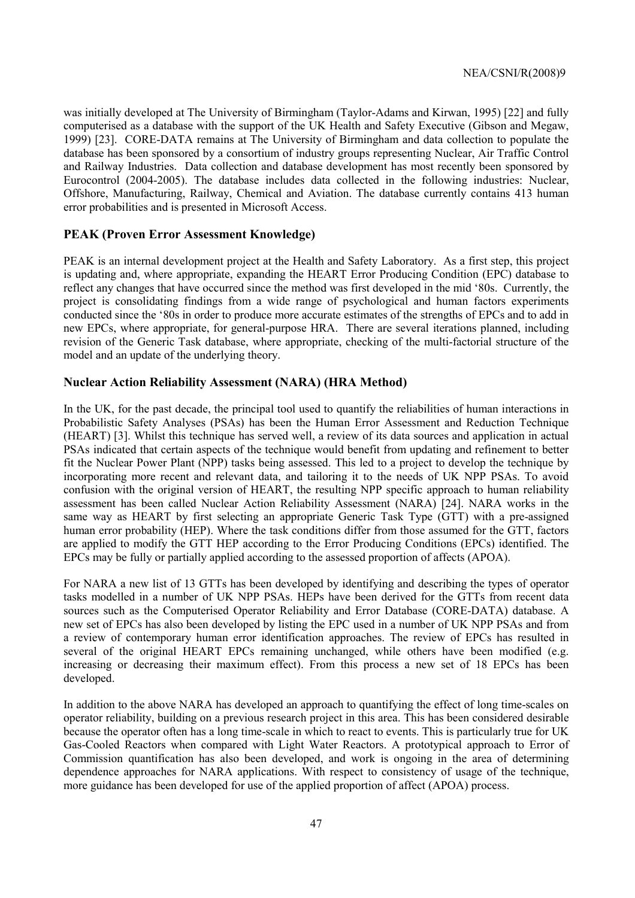was initially developed at The University of Birmingham (Taylor-Adams and Kirwan, 1995) [22] and fully computerised as a database with the support of the UK Health and Safety Executive (Gibson and Megaw, 1999) [23]. CORE-DATA remains at The University of Birmingham and data collection to populate the database has been sponsored by a consortium of industry groups representing Nuclear, Air Traffic Control and Railway Industries. Data collection and database development has most recently been sponsored by Eurocontrol (2004-2005). The database includes data collected in the following industries: Nuclear, Offshore, Manufacturing, Railway, Chemical and Aviation. The database currently contains 413 human error probabilities and is presented in Microsoft Access.

# **PEAK (Proven Error Assessment Knowledge)**

PEAK is an internal development project at the Health and Safety Laboratory. As a first step, this project is updating and, where appropriate, expanding the HEART Error Producing Condition (EPC) database to reflect any changes that have occurred since the method was first developed in the mid '80s. Currently, the project is consolidating findings from a wide range of psychological and human factors experiments conducted since the '80s in order to produce more accurate estimates of the strengths of EPCs and to add in new EPCs, where appropriate, for general-purpose HRA. There are several iterations planned, including revision of the Generic Task database, where appropriate, checking of the multi-factorial structure of the model and an update of the underlying theory.

## **Nuclear Action Reliability Assessment (NARA) (HRA Method)**

In the UK, for the past decade, the principal tool used to quantify the reliabilities of human interactions in Probabilistic Safety Analyses (PSAs) has been the Human Error Assessment and Reduction Technique (HEART) [3]. Whilst this technique has served well, a review of its data sources and application in actual PSAs indicated that certain aspects of the technique would benefit from updating and refinement to better fit the Nuclear Power Plant (NPP) tasks being assessed. This led to a project to develop the technique by incorporating more recent and relevant data, and tailoring it to the needs of UK NPP PSAs. To avoid confusion with the original version of HEART, the resulting NPP specific approach to human reliability assessment has been called Nuclear Action Reliability Assessment (NARA) [24]. NARA works in the same way as HEART by first selecting an appropriate Generic Task Type (GTT) with a pre-assigned human error probability (HEP). Where the task conditions differ from those assumed for the GTT, factors are applied to modify the GTT HEP according to the Error Producing Conditions (EPCs) identified. The EPCs may be fully or partially applied according to the assessed proportion of affects (APOA).

For NARA a new list of 13 GTTs has been developed by identifying and describing the types of operator tasks modelled in a number of UK NPP PSAs. HEPs have been derived for the GTTs from recent data sources such as the Computerised Operator Reliability and Error Database (CORE-DATA) database. A new set of EPCs has also been developed by listing the EPC used in a number of UK NPP PSAs and from a review of contemporary human error identification approaches. The review of EPCs has resulted in several of the original HEART EPCs remaining unchanged, while others have been modified (e.g. increasing or decreasing their maximum effect). From this process a new set of 18 EPCs has been developed.

In addition to the above NARA has developed an approach to quantifying the effect of long time-scales on operator reliability, building on a previous research project in this area. This has been considered desirable because the operator often has a long time-scale in which to react to events. This is particularly true for UK Gas-Cooled Reactors when compared with Light Water Reactors. A prototypical approach to Error of Commission quantification has also been developed, and work is ongoing in the area of determining dependence approaches for NARA applications. With respect to consistency of usage of the technique, more guidance has been developed for use of the applied proportion of affect (APOA) process.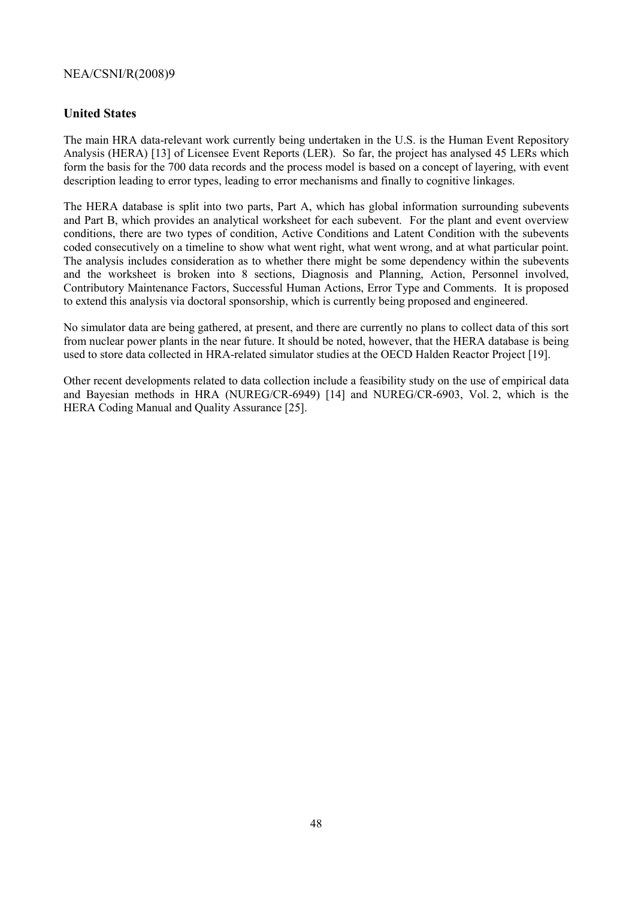# **United States**

The main HRA data-relevant work currently being undertaken in the U.S. is the Human Event Repository Analysis (HERA) [13] of Licensee Event Reports (LER). So far, the project has analysed 45 LERs which form the basis for the 700 data records and the process model is based on a concept of layering, with event description leading to error types, leading to error mechanisms and finally to cognitive linkages.

The HERA database is split into two parts, Part A, which has global information surrounding subevents and Part B, which provides an analytical worksheet for each subevent. For the plant and event overview conditions, there are two types of condition, Active Conditions and Latent Condition with the subevents coded consecutively on a timeline to show what went right, what went wrong, and at what particular point. The analysis includes consideration as to whether there might be some dependency within the subevents and the worksheet is broken into 8 sections, Diagnosis and Planning, Action, Personnel involved, Contributory Maintenance Factors, Successful Human Actions, Error Type and Comments. It is proposed to extend this analysis via doctoral sponsorship, which is currently being proposed and engineered.

No simulator data are being gathered, at present, and there are currently no plans to collect data of this sort from nuclear power plants in the near future. It should be noted, however, that the HERA database is being used to store data collected in HRA-related simulator studies at the OECD Halden Reactor Project [19].

Other recent developments related to data collection include a feasibility study on the use of empirical data and Bayesian methods in HRA (NUREG/CR-6949) [14] and NUREG/CR-6903, Vol. 2, which is the HERA Coding Manual and Quality Assurance [25].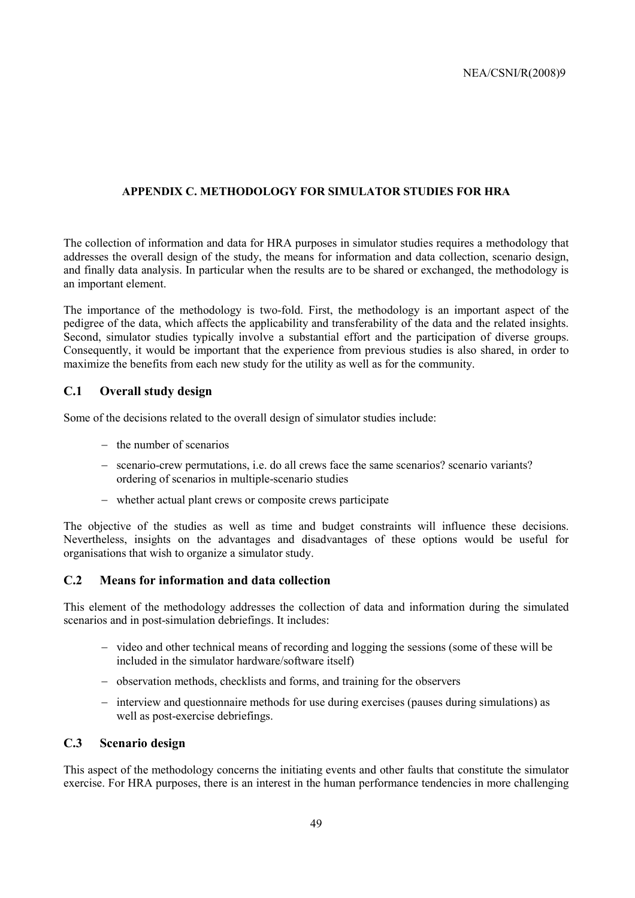# **APPENDIX C. METHODOLOGY FOR SIMULATOR STUDIES FOR HRA**

The collection of information and data for HRA purposes in simulator studies requires a methodology that addresses the overall design of the study, the means for information and data collection, scenario design, and finally data analysis. In particular when the results are to be shared or exchanged, the methodology is an important element.

The importance of the methodology is two-fold. First, the methodology is an important aspect of the pedigree of the data, which affects the applicability and transferability of the data and the related insights. Second, simulator studies typically involve a substantial effort and the participation of diverse groups. Consequently, it would be important that the experience from previous studies is also shared, in order to maximize the benefits from each new study for the utility as well as for the community.

# **C.1 Overall study design**

Some of the decisions related to the overall design of simulator studies include:

- − the number of scenarios
- − scenario-crew permutations, i.e. do all crews face the same scenarios? scenario variants? ordering of scenarios in multiple-scenario studies
- − whether actual plant crews or composite crews participate

The objective of the studies as well as time and budget constraints will influence these decisions. Nevertheless, insights on the advantages and disadvantages of these options would be useful for organisations that wish to organize a simulator study.

#### **C.2 Means for information and data collection**

This element of the methodology addresses the collection of data and information during the simulated scenarios and in post-simulation debriefings. It includes:

- − video and other technical means of recording and logging the sessions (some of these will be included in the simulator hardware/software itself)
- − observation methods, checklists and forms, and training for the observers
- − interview and questionnaire methods for use during exercises (pauses during simulations) as well as post-exercise debriefings.

# **C.3 Scenario design**

This aspect of the methodology concerns the initiating events and other faults that constitute the simulator exercise. For HRA purposes, there is an interest in the human performance tendencies in more challenging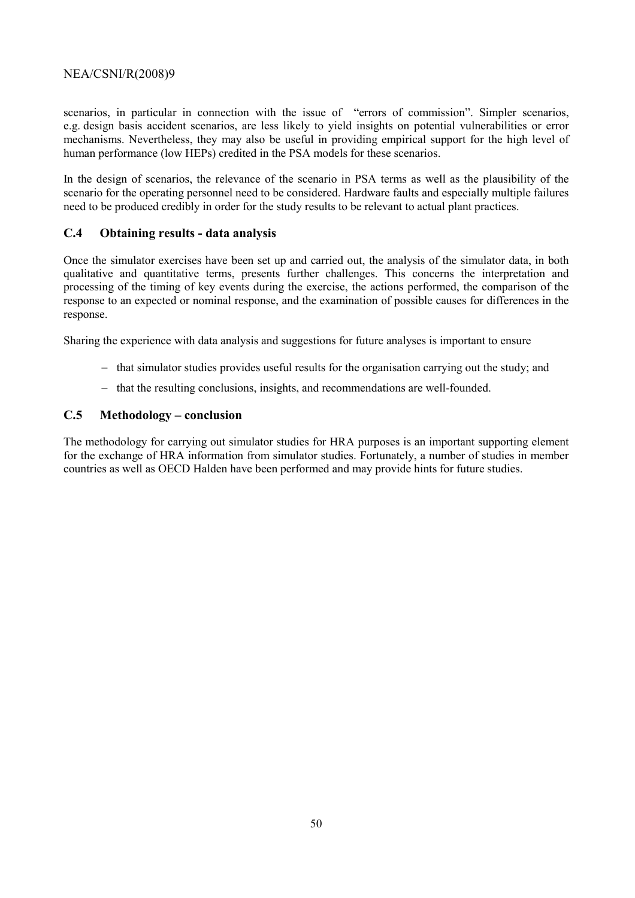scenarios, in particular in connection with the issue of "errors of commission". Simpler scenarios, e.g. design basis accident scenarios, are less likely to yield insights on potential vulnerabilities or error mechanisms. Nevertheless, they may also be useful in providing empirical support for the high level of human performance (low HEPs) credited in the PSA models for these scenarios.

In the design of scenarios, the relevance of the scenario in PSA terms as well as the plausibility of the scenario for the operating personnel need to be considered. Hardware faults and especially multiple failures need to be produced credibly in order for the study results to be relevant to actual plant practices.

# **C.4 Obtaining results - data analysis**

Once the simulator exercises have been set up and carried out, the analysis of the simulator data, in both qualitative and quantitative terms, presents further challenges. This concerns the interpretation and processing of the timing of key events during the exercise, the actions performed, the comparison of the response to an expected or nominal response, and the examination of possible causes for differences in the response.

Sharing the experience with data analysis and suggestions for future analyses is important to ensure

- − that simulator studies provides useful results for the organisation carrying out the study; and
- − that the resulting conclusions, insights, and recommendations are well-founded.

# **C.5 Methodology – conclusion**

The methodology for carrying out simulator studies for HRA purposes is an important supporting element for the exchange of HRA information from simulator studies. Fortunately, a number of studies in member countries as well as OECD Halden have been performed and may provide hints for future studies.